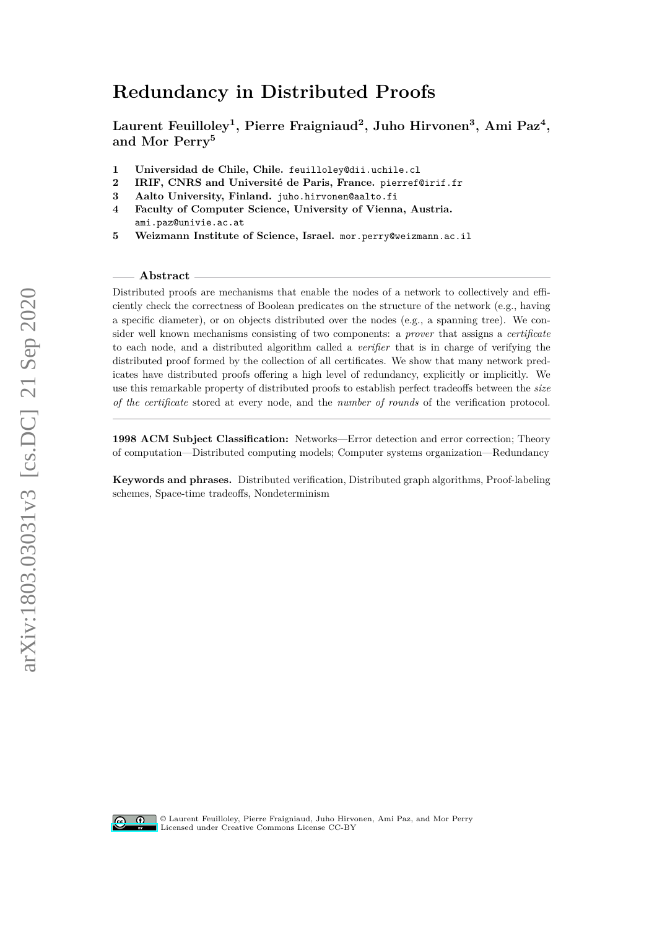**Laurent Feuilloley<sup>1</sup> , Pierre Fraigniaud<sup>2</sup> , Juho Hirvonen<sup>3</sup> , Ami Paz<sup>4</sup> , and Mor Perry<sup>5</sup>**

- **1 Universidad de Chile, Chile.** feuilloley@dii.uchile.cl
- **2 IRIF, CNRS and Université de Paris, France.** pierref@irif.fr
- **3 Aalto University, Finland.** juho.hirvonen@aalto.fi
- **4 Faculty of Computer Science, University of Vienna, Austria.** ami.paz@univie.ac.at
- **5 Weizmann Institute of Science, Israel.** mor.perry@weizmann.ac.il

### **Abstract**

Distributed proofs are mechanisms that enable the nodes of a network to collectively and efficiently check the correctness of Boolean predicates on the structure of the network (e.g., having a specific diameter), or on objects distributed over the nodes (e.g., a spanning tree). We consider well known mechanisms consisting of two components: a *prover* that assigns a *certificate* to each node, and a distributed algorithm called a *verifier* that is in charge of verifying the distributed proof formed by the collection of all certificates. We show that many network predicates have distributed proofs offering a high level of redundancy, explicitly or implicitly. We use this remarkable property of distributed proofs to establish perfect tradeoffs between the *size of the certificate* stored at every node, and the *number of rounds* of the verification protocol.

**1998 ACM Subject Classification:** Networks—Error detection and error correction; Theory of computation—Distributed computing models; Computer systems organization—Redundancy

**Keywords and phrases.** Distributed verification, Distributed graph algorithms, Proof-labeling schemes, Space-time tradeoffs, Nondeterminism

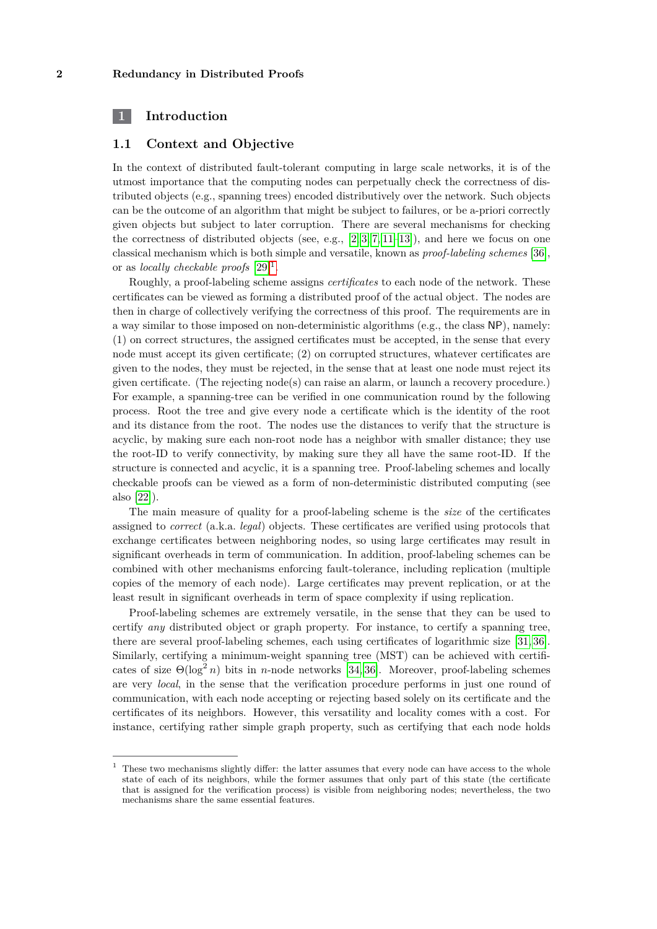# **1 Introduction**

## **1.1 Context and Objective**

In the context of distributed fault-tolerant computing in large scale networks, it is of the utmost importance that the computing nodes can perpetually check the correctness of distributed objects (e.g., spanning trees) encoded distributively over the network. Such objects can be the outcome of an algorithm that might be subject to failures, or be a-priori correctly given objects but subject to later corruption. There are several mechanisms for checking the correctness of distributed objects (see, e.g.,  $[2, 3, 7, 11-13]$  $[2, 3, 7, 11-13]$  $[2, 3, 7, 11-13]$  $[2, 3, 7, 11-13]$  $[2, 3, 7, 11-13]$ ), and here we focus on one classical mechanism which is both simple and versatile, known as *proof-labeling schemes* [\[36\]](#page-29-0), or as *locally checkable proofs* [\[29\]](#page-29-1)<sup>[1](#page-1-0)</sup>.

Roughly, a proof-labeling scheme assigns *certificates* to each node of the network. These certificates can be viewed as forming a distributed proof of the actual object. The nodes are then in charge of collectively verifying the correctness of this proof. The requirements are in a way similar to those imposed on non-deterministic algorithms (e.g., the class NP), namely: (1) on correct structures, the assigned certificates must be accepted, in the sense that every node must accept its given certificate; (2) on corrupted structures, whatever certificates are given to the nodes, they must be rejected, in the sense that at least one node must reject its given certificate. (The rejecting  $node(s)$  can raise an alarm, or launch a recovery procedure.) For example, a spanning-tree can be verified in one communication round by the following process. Root the tree and give every node a certificate which is the identity of the root and its distance from the root. The nodes use the distances to verify that the structure is acyclic, by making sure each non-root node has a neighbor with smaller distance; they use the root-ID to verify connectivity, by making sure they all have the same root-ID. If the structure is connected and acyclic, it is a spanning tree. Proof-labeling schemes and locally checkable proofs can be viewed as a form of non-deterministic distributed computing (see also [\[22\]](#page-28-3)).

The main measure of quality for a proof-labeling scheme is the *size* of the certificates assigned to *correct* (a.k.a. *legal*) objects. These certificates are verified using protocols that exchange certificates between neighboring nodes, so using large certificates may result in significant overheads in term of communication. In addition, proof-labeling schemes can be combined with other mechanisms enforcing fault-tolerance, including replication (multiple copies of the memory of each node). Large certificates may prevent replication, or at the least result in significant overheads in term of space complexity if using replication.

Proof-labeling schemes are extremely versatile, in the sense that they can be used to certify *any* distributed object or graph property. For instance, to certify a spanning tree, there are several proof-labeling schemes, each using certificates of logarithmic size [\[31,](#page-29-2) [36\]](#page-29-0). Similarly, certifying a minimum-weight spanning tree (MST) can be achieved with certificates of size  $\Theta(\log^2 n)$  bits in *n*-node networks [\[34,](#page-29-3) [36\]](#page-29-0). Moreover, proof-labeling schemes are very *local*, in the sense that the verification procedure performs in just one round of communication, with each node accepting or rejecting based solely on its certificate and the certificates of its neighbors. However, this versatility and locality comes with a cost. For instance, certifying rather simple graph property, such as certifying that each node holds

<span id="page-1-0"></span><sup>&</sup>lt;sup>1</sup> These two mechanisms slightly differ: the latter assumes that every node can have access to the whole state of each of its neighbors, while the former assumes that only part of this state (the certificate that is assigned for the verification process) is visible from neighboring nodes; nevertheless, the two mechanisms share the same essential features.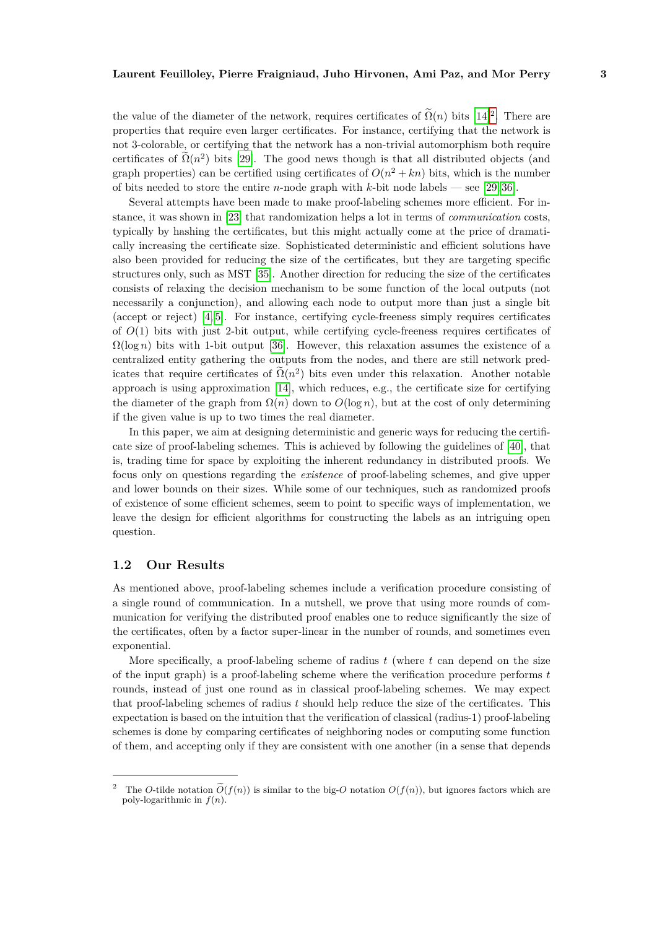the value of the diameter of the network, requires certificates of  $\tilde{\Omega}(n)$  bits [\[14\]](#page-28-4)<sup>[2](#page-2-0)</sup>. There are properties that require even larger certificates. For instance, certifying that the network is not 3-colorable, or certifying that the network has a non-trivial automorphism both require certificates of  $\tilde{\Omega}(n^2)$  bits [\[29\]](#page-29-1). The good news though is that all distributed objects (and graph properties) can be certified using certificates of  $O(n^2 + kn)$  bits, which is the number of bits needed to store the entire *n*-node graph with *k*-bit node labels — see [\[29,](#page-29-1) [36\]](#page-29-0).

Several attempts have been made to make proof-labeling schemes more efficient. For instance, it was shown in [\[23\]](#page-28-5) that randomization helps a lot in terms of *communication* costs, typically by hashing the certificates, but this might actually come at the price of dramatically increasing the certificate size. Sophisticated deterministic and efficient solutions have also been provided for reducing the size of the certificates, but they are targeting specific structures only, such as MST [\[35\]](#page-29-4). Another direction for reducing the size of the certificates consists of relaxing the decision mechanism to be some function of the local outputs (not necessarily a conjunction), and allowing each node to output more than just a single bit (accept or reject) [\[4,](#page-27-2) [5\]](#page-27-3). For instance, certifying cycle-freeness simply requires certificates of  $O(1)$  bits with just 2-bit output, while certifying cycle-freeness requires certificates of  $\Omega(\log n)$  bits with 1-bit output [\[36\]](#page-29-0). However, this relaxation assumes the existence of a centralized entity gathering the outputs from the nodes, and there are still network predicates that require certificates of  $\Omega(n^2)$  bits even under this relaxation. Another notable approach is using approximation [\[14\]](#page-28-4), which reduces, e.g., the certificate size for certifying the diameter of the graph from  $\Omega(n)$  down to  $O(\log n)$ , but at the cost of only determining if the given value is up to two times the real diameter.

In this paper, we aim at designing deterministic and generic ways for reducing the certificate size of proof-labeling schemes. This is achieved by following the guidelines of [\[40\]](#page-29-5), that is, trading time for space by exploiting the inherent redundancy in distributed proofs. We focus only on questions regarding the *existence* of proof-labeling schemes, and give upper and lower bounds on their sizes. While some of our techniques, such as randomized proofs of existence of some efficient schemes, seem to point to specific ways of implementation, we leave the design for efficient algorithms for constructing the labels as an intriguing open question.

# **1.2 Our Results**

As mentioned above, proof-labeling schemes include a verification procedure consisting of a single round of communication. In a nutshell, we prove that using more rounds of communication for verifying the distributed proof enables one to reduce significantly the size of the certificates, often by a factor super-linear in the number of rounds, and sometimes even exponential.

More specifically, a proof-labeling scheme of radius *t* (where *t* can depend on the size of the input graph) is a proof-labeling scheme where the verification procedure performs *t* rounds, instead of just one round as in classical proof-labeling schemes. We may expect that proof-labeling schemes of radius *t* should help reduce the size of the certificates. This expectation is based on the intuition that the verification of classical (radius-1) proof-labeling schemes is done by comparing certificates of neighboring nodes or computing some function of them, and accepting only if they are consistent with one another (in a sense that depends

<span id="page-2-0"></span><sup>&</sup>lt;sup>2</sup> The *O*-tilde notation  $\widetilde{O}(f(n))$  is similar to the big-*O* notation  $O(f(n))$ , but ignores factors which are poly-logarithmic in *f*(*n*).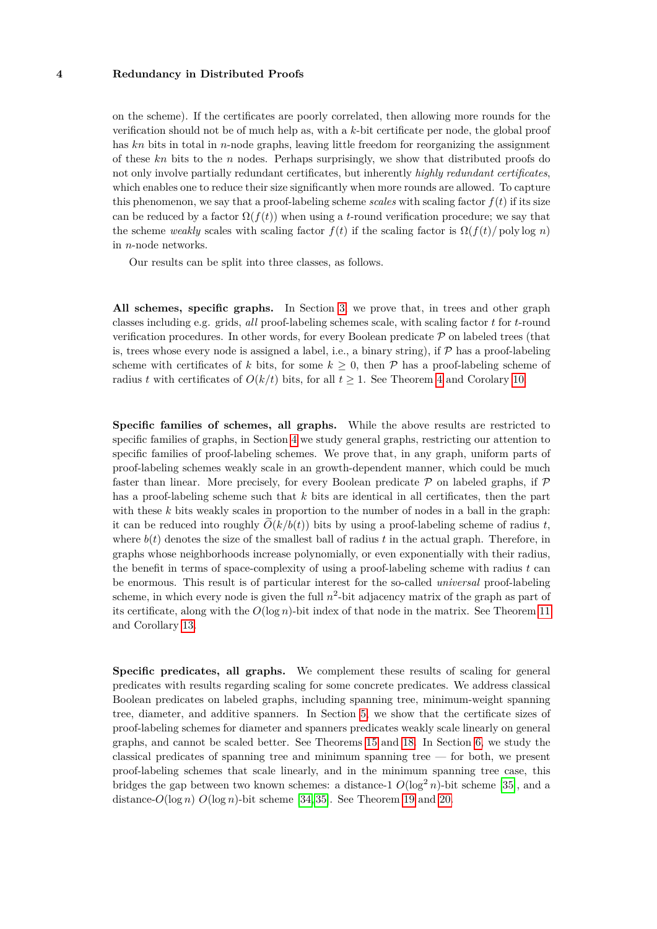on the scheme). If the certificates are poorly correlated, then allowing more rounds for the verification should not be of much help as, with a *k*-bit certificate per node, the global proof has *kn* bits in total in *n*-node graphs, leaving little freedom for reorganizing the assignment of these *kn* bits to the *n* nodes. Perhaps surprisingly, we show that distributed proofs do not only involve partially redundant certificates, but inherently *highly redundant certificates*, which enables one to reduce their size significantly when more rounds are allowed. To capture this phenomenon, we say that a proof-labeling scheme *scales* with scaling factor  $f(t)$  if its size can be reduced by a factor  $\Omega(f(t))$  when using a *t*-round verification procedure; we say that the scheme *weakly* scales with scaling factor  $f(t)$  if the scaling factor is  $\Omega(f(t)/$  poly log *n*) in *n*-node networks.

Our results can be split into three classes, as follows.

**All schemes, specific graphs.** In Section [3,](#page-8-0) we prove that, in trees and other graph classes including e.g. grids, *all* proof-labeling schemes scale, with scaling factor *t* for *t*-round verification procedures. In other words, for every Boolean predicate  $P$  on labeled trees (that is, trees whose every node is assigned a label, i.e., a binary string), if  $P$  has a proof-labeling scheme with certificates of *k* bits, for some  $k \geq 0$ , then  $P$  has a proof-labeling scheme of radius *t* with certificates of  $O(k/t)$  bits, for all  $t \geq 1$ . See Theorem [4](#page-9-0) and Corolary [10.](#page-13-0)

**Specific families of schemes, all graphs.** While the above results are restricted to specific families of graphs, in Section [4](#page-15-0) we study general graphs, restricting our attention to specific families of proof-labeling schemes. We prove that, in any graph, uniform parts of proof-labeling schemes weakly scale in an growth-dependent manner, which could be much faster than linear. More precisely, for every Boolean predicate  $P$  on labeled graphs, if  $P$ has a proof-labeling scheme such that *k* bits are identical in all certificates, then the part with these *k* bits weakly scales in proportion to the number of nodes in a ball in the graph: it can be reduced into roughly  $O(k/b(t))$  bits by using a proof-labeling scheme of radius t, where  $b(t)$  denotes the size of the smallest ball of radius  $t$  in the actual graph. Therefore, in graphs whose neighborhoods increase polynomially, or even exponentially with their radius, the benefit in terms of space-complexity of using a proof-labeling scheme with radius *t* can be enormous. This result is of particular interest for the so-called *universal* proof-labeling scheme, in which every node is given the full  $n^2$ -bit adjacency matrix of the graph as part of its certificate, along with the *O*(log *n*)-bit index of that node in the matrix. See Theorem [11](#page-15-1) and Corollary [13.](#page-17-0)

**Specific predicates, all graphs.** We complement these results of scaling for general predicates with results regarding scaling for some concrete predicates. We address classical Boolean predicates on labeled graphs, including spanning tree, minimum-weight spanning tree, diameter, and additive spanners. In Section [5,](#page-17-1) we show that the certificate sizes of proof-labeling schemes for diameter and spanners predicates weakly scale linearly on general graphs, and cannot be scaled better. See Theorems [15](#page-17-2) and [18.](#page-23-0) In Section [6,](#page-24-0) we study the classical predicates of spanning tree and minimum spanning tree — for both, we present proof-labeling schemes that scale linearly, and in the minimum spanning tree case, this bridges the gap between two known schemes: a distance-1  $O(\log^2 n)$ -bit scheme [\[35\]](#page-29-4), and a distance- $O(\log n)$   $O(\log n)$ -bit scheme [\[34,](#page-29-3) [35\]](#page-29-4). See Theorem [19](#page-24-1) and [20.](#page-25-0)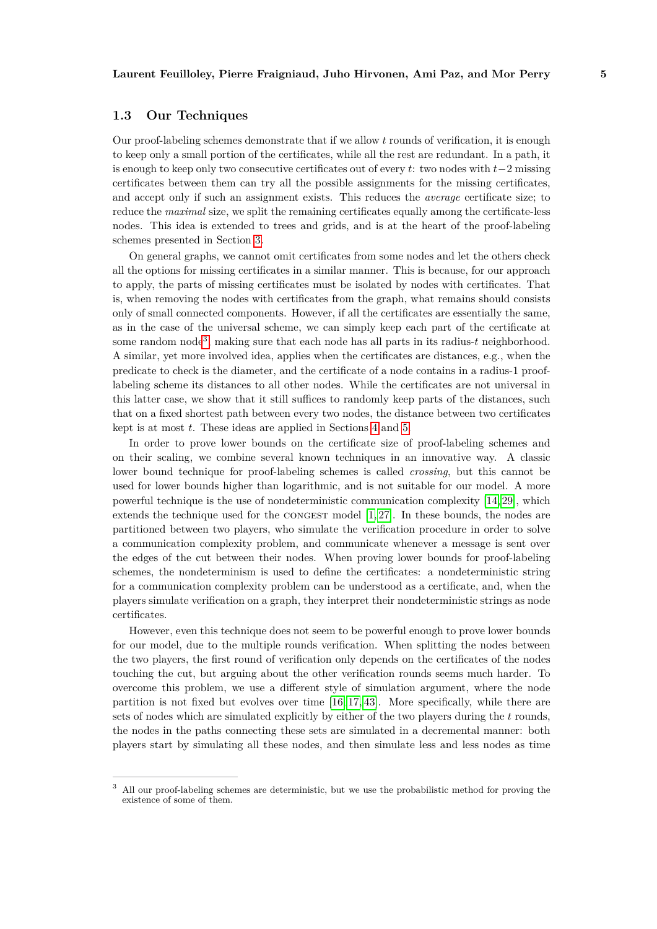# **1.3 Our Techniques**

Our proof-labeling schemes demonstrate that if we allow *t* rounds of verification, it is enough to keep only a small portion of the certificates, while all the rest are redundant. In a path, it is enough to keep only two consecutive certificates out of every *t*: two nodes with *t*−2 missing certificates between them can try all the possible assignments for the missing certificates, and accept only if such an assignment exists. This reduces the *average* certificate size; to reduce the *maximal* size, we split the remaining certificates equally among the certificate-less nodes. This idea is extended to trees and grids, and is at the heart of the proof-labeling schemes presented in Section [3.](#page-8-0)

On general graphs, we cannot omit certificates from some nodes and let the others check all the options for missing certificates in a similar manner. This is because, for our approach to apply, the parts of missing certificates must be isolated by nodes with certificates. That is, when removing the nodes with certificates from the graph, what remains should consists only of small connected components. However, if all the certificates are essentially the same, as in the case of the universal scheme, we can simply keep each part of the certificate at some random node<sup>[3](#page-4-0)</sup>, making sure that each node has all parts in its radius-t neighborhood. A similar, yet more involved idea, applies when the certificates are distances, e.g., when the predicate to check is the diameter, and the certificate of a node contains in a radius-1 prooflabeling scheme its distances to all other nodes. While the certificates are not universal in this latter case, we show that it still suffices to randomly keep parts of the distances, such that on a fixed shortest path between every two nodes, the distance between two certificates kept is at most *t*. These ideas are applied in Sections [4](#page-15-0) and [5.](#page-17-1)

In order to prove lower bounds on the certificate size of proof-labeling schemes and on their scaling, we combine several known techniques in an innovative way. A classic lower bound technique for proof-labeling schemes is called *crossing*, but this cannot be used for lower bounds higher than logarithmic, and is not suitable for our model. A more powerful technique is the use of nondeterministic communication complexity [\[14,](#page-28-4) [29\]](#page-29-1), which extends the technique used for the CONGEST model  $[1, 27]$  $[1, 27]$ . In these bounds, the nodes are partitioned between two players, who simulate the verification procedure in order to solve a communication complexity problem, and communicate whenever a message is sent over the edges of the cut between their nodes. When proving lower bounds for proof-labeling schemes, the nondeterminism is used to define the certificates: a nondeterministic string for a communication complexity problem can be understood as a certificate, and, when the players simulate verification on a graph, they interpret their nondeterministic strings as node certificates.

However, even this technique does not seem to be powerful enough to prove lower bounds for our model, due to the multiple rounds verification. When splitting the nodes between the two players, the first round of verification only depends on the certificates of the nodes touching the cut, but arguing about the other verification rounds seems much harder. To overcome this problem, we use a different style of simulation argument, where the node partition is not fixed but evolves over time [\[16,](#page-28-6) [17,](#page-28-7) [43\]](#page-29-7). More specifically, while there are sets of nodes which are simulated explicitly by either of the two players during the *t* rounds, the nodes in the paths connecting these sets are simulated in a decremental manner: both players start by simulating all these nodes, and then simulate less and less nodes as time

<span id="page-4-0"></span><sup>&</sup>lt;sup>3</sup> All our proof-labeling schemes are deterministic, but we use the probabilistic method for proving the existence of some of them.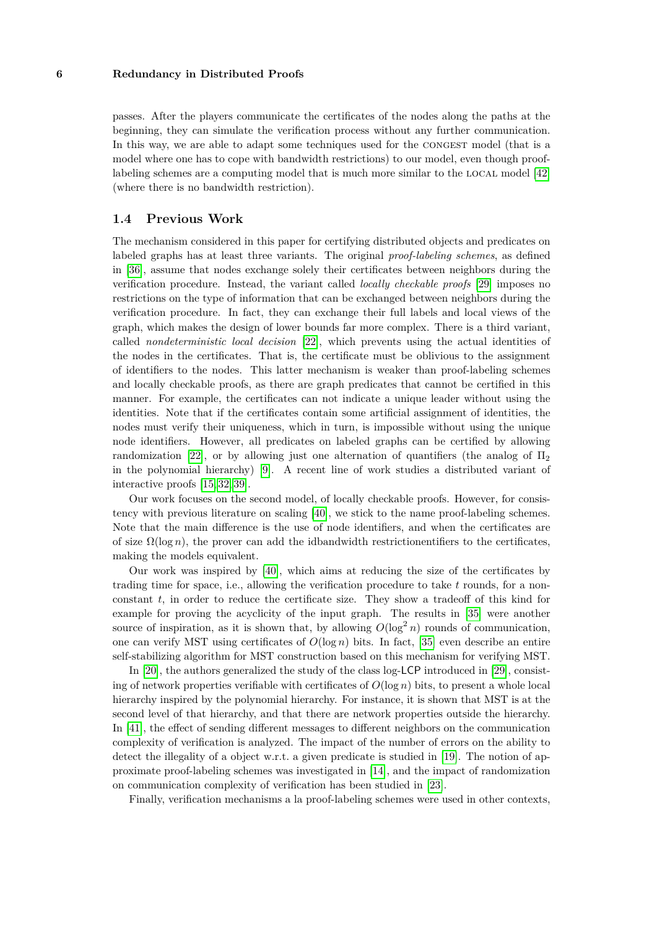passes. After the players communicate the certificates of the nodes along the paths at the beginning, they can simulate the verification process without any further communication. In this way, we are able to adapt some techniques used for the CONGEST model (that is a model where one has to cope with bandwidth restrictions) to our model, even though proof-labeling schemes are a computing model that is much more similar to the LOCAL model [\[42\]](#page-29-8) (where there is no bandwidth restriction).

# **1.4 Previous Work**

The mechanism considered in this paper for certifying distributed objects and predicates on labeled graphs has at least three variants. The original *proof-labeling schemes*, as defined in [\[36\]](#page-29-0), assume that nodes exchange solely their certificates between neighbors during the verification procedure. Instead, the variant called *locally checkable proofs* [\[29\]](#page-29-1) imposes no restrictions on the type of information that can be exchanged between neighbors during the verification procedure. In fact, they can exchange their full labels and local views of the graph, which makes the design of lower bounds far more complex. There is a third variant, called *nondeterministic local decision* [\[22\]](#page-28-3), which prevents using the actual identities of the nodes in the certificates. That is, the certificate must be oblivious to the assignment of identifiers to the nodes. This latter mechanism is weaker than proof-labeling schemes and locally checkable proofs, as there are graph predicates that cannot be certified in this manner. For example, the certificates can not indicate a unique leader without using the identities. Note that if the certificates contain some artificial assignment of identities, the nodes must verify their uniqueness, which in turn, is impossible without using the unique node identifiers. However, all predicates on labeled graphs can be certified by allowing randomization [\[22\]](#page-28-3), or by allowing just one alternation of quantifiers (the analog of  $\Pi_2$ in the polynomial hierarchy) [\[9\]](#page-28-8). A recent line of work studies a distributed variant of interactive proofs [\[15,](#page-28-9) [32,](#page-29-9) [39\]](#page-29-10).

Our work focuses on the second model, of locally checkable proofs. However, for consistency with previous literature on scaling [\[40\]](#page-29-5), we stick to the name proof-labeling schemes. Note that the main difference is the use of node identifiers, and when the certificates are of size  $\Omega(\log n)$ , the prover can add the idbandwidth restrictionentifiers to the certificates, making the models equivalent.

Our work was inspired by [\[40\]](#page-29-5), which aims at reducing the size of the certificates by trading time for space, i.e., allowing the verification procedure to take *t* rounds, for a nonconstant *t*, in order to reduce the certificate size. They show a tradeoff of this kind for example for proving the acyclicity of the input graph. The results in [\[35\]](#page-29-4) were another source of inspiration, as it is shown that, by allowing  $O(\log^2 n)$  rounds of communication. one can verify MST using certificates of  $O(\log n)$  bits. In fact, [\[35\]](#page-29-4) even describe an entire self-stabilizing algorithm for MST construction based on this mechanism for verifying MST.

In [\[20\]](#page-28-10), the authors generalized the study of the class log-LCP introduced in [\[29\]](#page-29-1), consisting of network properties verifiable with certificates of  $O(\log n)$  bits, to present a whole local hierarchy inspired by the polynomial hierarchy. For instance, it is shown that MST is at the second level of that hierarchy, and that there are network properties outside the hierarchy. In [\[41\]](#page-29-11), the effect of sending different messages to different neighbors on the communication complexity of verification is analyzed. The impact of the number of errors on the ability to detect the illegality of a object w.r.t. a given predicate is studied in [\[19\]](#page-28-11). The notion of approximate proof-labeling schemes was investigated in [\[14\]](#page-28-4), and the impact of randomization on communication complexity of verification has been studied in [\[23\]](#page-28-5).

Finally, verification mechanisms a la proof-labeling schemes were used in other contexts,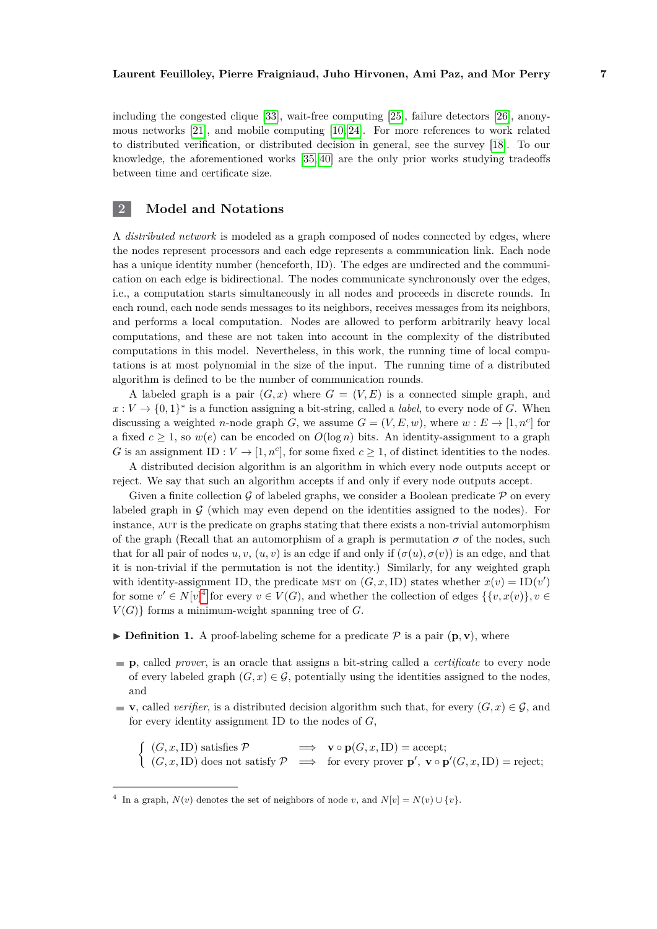including the congested clique [\[33\]](#page-29-12), wait-free computing [\[25\]](#page-28-12), failure detectors [\[26\]](#page-29-13), anonymous networks [\[21\]](#page-28-13), and mobile computing [\[10,](#page-28-14) [24\]](#page-28-15). For more references to work related to distributed verification, or distributed decision in general, see the survey [\[18\]](#page-28-16). To our knowledge, the aforementioned works [\[35,](#page-29-4) [40\]](#page-29-5) are the only prior works studying tradeoffs between time and certificate size.

# <span id="page-6-1"></span>**2 Model and Notations**

A *distributed network* is modeled as a graph composed of nodes connected by edges, where the nodes represent processors and each edge represents a communication link. Each node has a unique identity number (henceforth, ID). The edges are undirected and the communication on each edge is bidirectional. The nodes communicate synchronously over the edges, i.e., a computation starts simultaneously in all nodes and proceeds in discrete rounds. In each round, each node sends messages to its neighbors, receives messages from its neighbors, and performs a local computation. Nodes are allowed to perform arbitrarily heavy local computations, and these are not taken into account in the complexity of the distributed computations in this model. Nevertheless, in this work, the running time of local computations is at most polynomial in the size of the input. The running time of a distributed algorithm is defined to be the number of communication rounds.

A labeled graph is a pair  $(G, x)$  where  $G = (V, E)$  is a connected simple graph, and  $x: V \to \{0,1\}^*$  is a function assigning a bit-string, called a *label*, to every node of *G*. When discussing a weighted *n*-node graph *G*, we assume  $G = (V, E, w)$ , where  $w : E \to [1, n^c]$  for a fixed  $c \geq 1$ , so  $w(e)$  can be encoded on  $O(\log n)$  bits. An identity-assignment to a graph *G* is an assignment ID :  $V \to [1, n^c]$ , for some fixed  $c \geq 1$ , of distinct identities to the nodes.

A distributed decision algorithm is an algorithm in which every node outputs accept or reject. We say that such an algorithm accepts if and only if every node outputs accept.

Given a finite collection  $\mathcal G$  of labeled graphs, we consider a Boolean predicate  $\mathcal P$  on every labeled graph in  $\mathcal G$  (which may even depend on the identities assigned to the nodes). For instance, aut is the predicate on graphs stating that there exists a non-trivial automorphism of the graph (Recall that an automorphism of a graph is permutation  $\sigma$  of the nodes, such that for all pair of nodes  $u, v, (u, v)$  is an edge if and only if  $(\sigma(u), \sigma(v))$  is an edge, and that it is non-trivial if the permutation is not the identity.) Similarly, for any weighted graph with identity-assignment ID, the predicate MST on  $(G, x, \text{ID})$  states whether  $x(v) = \text{ID}(v')$ for some  $v' \in N[v]^4$  $v' \in N[v]^4$  for every  $v \in V(G)$ , and whether the collection of edges  $\{\{v, x(v)\}, v \in$  $V(G)$ } forms a minimum-weight spanning tree of *G*.

 $\triangleright$  **Definition 1.** A proof-labeling scheme for a predicate  $\mathcal{P}$  is a pair  $(\mathbf{p}, \mathbf{v})$ , where

- **p**, called *prover*, is an oracle that assigns a bit-string called a *certificate* to every node of every labeled graph  $(G, x) \in \mathcal{G}$ , potentially using the identities assigned to the nodes. and
- **v**, called *verifier*, is a distributed decision algorithm such that, for every  $(G, x) \in \mathcal{G}$ , and for every identity assignment ID to the nodes of *G*,

| $\int$ $(G, x, \text{ID})$ satisfies $\mathcal{P}$ | $\implies$ <b>v</b> $\circ$ <b>p</b> $(G, x, \text{ID}) = \text{accept};$                                                                                     |
|----------------------------------------------------|---------------------------------------------------------------------------------------------------------------------------------------------------------------|
|                                                    | $\left(\right. (G, x, ID)\right)$ does not satisfy $\mathcal{P} \implies$ for every prover $\mathbf{p}'$ , $\mathbf{v} \circ \mathbf{p}'(G, x, ID) =$ reject; |

<span id="page-6-0"></span><sup>&</sup>lt;sup>4</sup> In a graph,  $N(v)$  denotes the set of neighbors of node *v*, and  $N[v] = N(v) \cup \{v\}$ .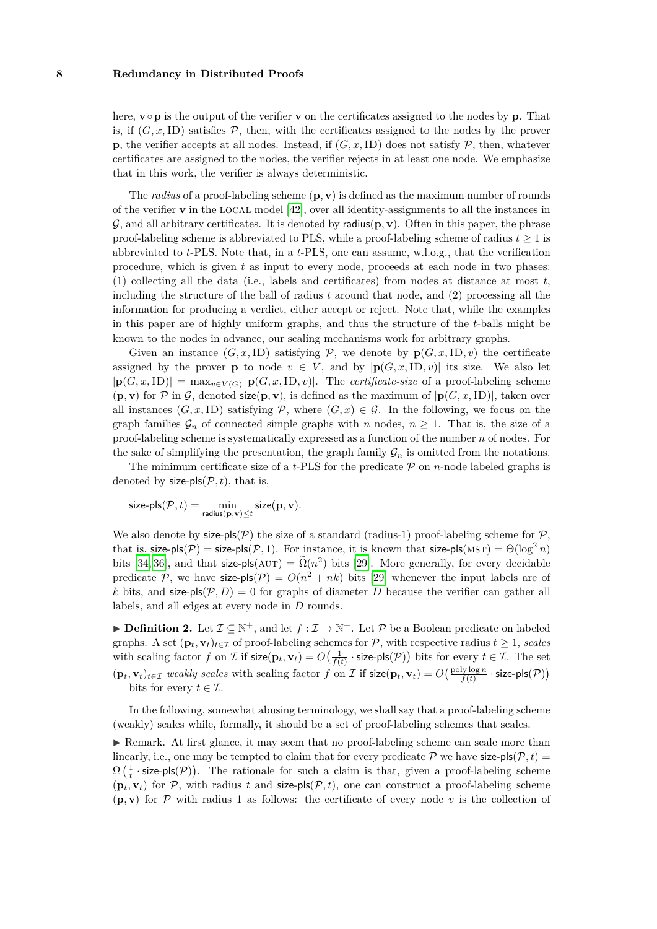here, **v**◦**p** is the output of the verifier **v** on the certificates assigned to the nodes by **p**. That is, if  $(G, x, \text{ID})$  satisfies  $\mathcal{P}$ , then, with the certificates assigned to the nodes by the prover **p**, the verifier accepts at all nodes. Instead, if  $(G, x, \text{ID})$  does not satisfy  $P$ , then, whatever certificates are assigned to the nodes, the verifier rejects in at least one node. We emphasize that in this work, the verifier is always deterministic.

The *radius* of a proof-labeling scheme (**p***,* **v**) is defined as the maximum number of rounds of the verifier **v** in the local model [\[42\]](#page-29-8), over all identity-assignments to all the instances in  $\mathcal{G}$ , and all arbitrary certificates. It is denoted by radius $(\mathbf{p}, \mathbf{v})$ . Often in this paper, the phrase proof-labeling scheme is abbreviated to PLS, while a proof-labeling scheme of radius *t* ≥ 1 is abbreviated to *t*-PLS. Note that, in a *t*-PLS, one can assume, w.l.o.g., that the verification procedure, which is given *t* as input to every node, proceeds at each node in two phases: (1) collecting all the data (i.e., labels and certificates) from nodes at distance at most *t*, including the structure of the ball of radius *t* around that node, and (2) processing all the information for producing a verdict, either accept or reject. Note that, while the examples in this paper are of highly uniform graphs, and thus the structure of the *t*-balls might be known to the nodes in advance, our scaling mechanisms work for arbitrary graphs.

Given an instance  $(G, x, \text{ID})$  satisfying  $\mathcal{P}$ , we denote by  $\mathbf{p}(G, x, \text{ID}, v)$  the certificate assigned by the prover **p** to node  $v \in V$ , and by  $|\mathbf{p}(G, x, \text{ID}, v)|$  its size. We also let  $|\mathbf{p}(G, x, \text{ID})| = \max_{v \in V(G)} |\mathbf{p}(G, x, \text{ID}, v)|$ . The *certificate-size* of a proof-labeling scheme  $(\mathbf{p}, \mathbf{v})$  for P in G, denoted size $(\mathbf{p}, \mathbf{v})$ , is defined as the maximum of  $|\mathbf{p}(G, x, \mathbf{ID})|$ , taken over all instances  $(G, x, \text{ID})$  satisfying P, where  $(G, x) \in \mathcal{G}$ . In the following, we focus on the graph families  $\mathcal{G}_n$  of connected simple graphs with *n* nodes,  $n \geq 1$ . That is, the size of a proof-labeling scheme is systematically expressed as a function of the number *n* of nodes. For the sake of simplifying the presentation, the graph family  $\mathcal{G}_n$  is omitted from the notations.

The minimum certificate size of a *t*-PLS for the predicate  $P$  on *n*-node labeled graphs is denoted by size-pls $(\mathcal{P}, t)$ , that is,

$$
\mathsf{size\text{-}pls}(\mathcal{P},t) = \min_{\mathsf{radius}(\mathbf{p}, \mathbf{v}) \leq t} \mathsf{size}(\mathbf{p}, \mathbf{v}).
$$

We also denote by size-pls( $\mathcal{P}$ ) the size of a standard (radius-1) proof-labeling scheme for  $\mathcal{P}$ , that is, size-pls( $\mathcal{P}$ ) = size-pls( $\mathcal{P}$ , 1). For instance, it is known that size-pls(MST) =  $\Theta(\log^2 n)$ bits [\[34,](#page-29-3) [36\]](#page-29-0), and that size-pls( $AUT$ ) =  $\widetilde{\Omega}(n^2)$  bits [\[29\]](#page-29-1). More generally, for every decidable predicate P, we have  $size-pls(\mathcal{P}) = O(n^2 + nk)$  bits [\[29\]](#page-29-1) whenever the input labels are of *k* bits, and size-pls( $P, D$ ) = 0 for graphs of diameter *D* because the verifier can gather all labels, and all edges at every node in *D* rounds.

**► Definition 2.** Let  $\mathcal{I} \subseteq \mathbb{N}^+$ , and let  $f : \mathcal{I} \to \mathbb{N}^+$ . Let P be a Boolean predicate on labeled graphs. A set  $(\mathbf{p}_t, \mathbf{v}_t)_{t \in \mathcal{I}}$  of proof-labeling schemes for  $\mathcal{P}$ , with respective radius  $t \geq 1$ , scales with scaling factor *f* on *I* if  $size(p_t, v_t) = O(\frac{1}{f(t)} \cdot size\text{-}pls(\mathcal{P}))$  bits for every  $t \in \mathcal{I}$ . The set  $(\mathbf{p}_t, \mathbf{v}_t)_{t \in \mathcal{I}}$  *weakly scales* with scaling factor  $f$  on  $\mathcal{I}$  if  $\text{size}(\mathbf{p}_t, \mathbf{v}_t) = O\left(\frac{\text{poly}\log n}{f(t)} \cdot \text{size-pls}(\mathcal{P})\right)$ bits for every  $t \in \mathcal{I}$ .

In the following, somewhat abusing terminology, we shall say that a proof-labeling scheme (weakly) scales while, formally, it should be a set of proof-labeling schemes that scales.

I Remark. At first glance, it may seem that no proof-labeling scheme can scale more than linearly, i.e., one may be tempted to claim that for every predicate  $\mathcal P$  we have size-pls( $\mathcal P, t$ )  $\Omega\left(\frac{1}{t}\cdot \text{size-pls}(\mathcal{P})\right)$ . The rationale for such a claim is that, given a proof-labeling scheme  $(\mathbf{p}_t, \mathbf{v}_t)$  for P, with radius t and size-pls( $P, t$ ), one can construct a proof-labeling scheme  $(\mathbf{p}, \mathbf{v})$  for P with radius 1 as follows: the certificate of every node v is the collection of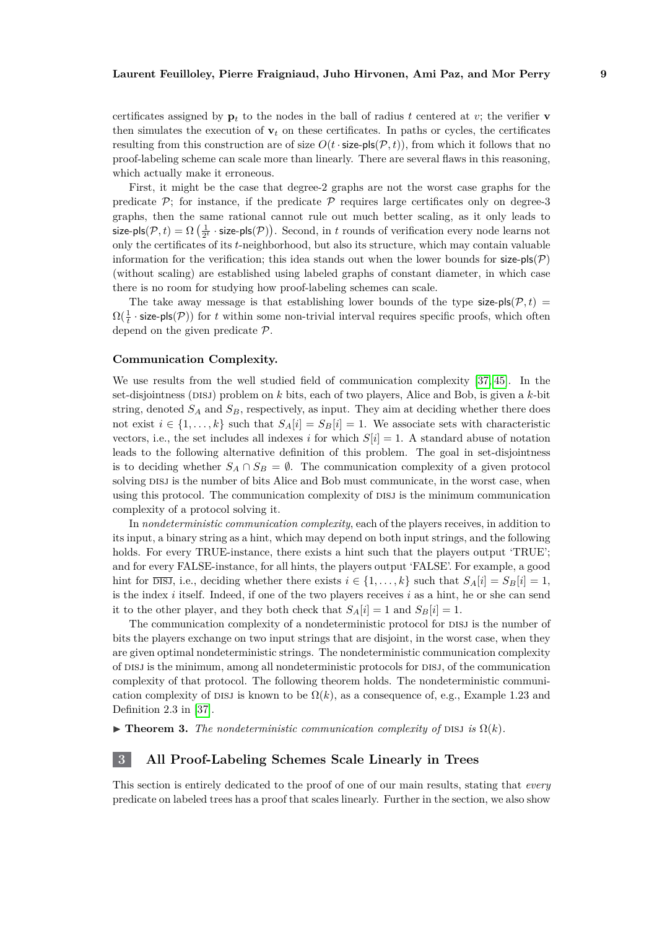certificates assigned by  $\mathbf{p}_t$  to the nodes in the ball of radius t centered at v; the verifier **v** then simulates the execution of  $\mathbf{v}_t$  on these certificates. In paths or cycles, the certificates resulting from this construction are of size  $O(t \cdot \text{size-}p \cdot s(\mathcal{P}, t))$ , from which it follows that no proof-labeling scheme can scale more than linearly. There are several flaws in this reasoning, which actually make it erroneous.

First, it might be the case that degree-2 graphs are not the worst case graphs for the predicate  $\mathcal{P}$ ; for instance, if the predicate  $\mathcal{P}$  requires large certificates only on degree-3 graphs, then the same rational cannot rule out much better scaling, as it only leads to size-pls( $P, t$ ) =  $\Omega$  ( $\frac{1}{2^t}$  · size-pls( $P$ )). Second, in *t* rounds of verification every node learns not only the certificates of its *t*-neighborhood, but also its structure, which may contain valuable information for the verification; this idea stands out when the lower bounds for size-pls( $\mathcal{P}$ ) (without scaling) are established using labeled graphs of constant diameter, in which case there is no room for studying how proof-labeling schemes can scale.

The take away message is that establishing lower bounds of the type  $size-pls(\mathcal{P}, t)$  $\Omega(\frac{1}{t} \cdot \text{size-pls}(\mathcal{P}))$  for *t* within some non-trivial interval requires specific proofs, which often depend on the given predicate P.

### **Communication Complexity.**

We use results from the well studied field of communication complexity [\[37,](#page-29-14) [45\]](#page-30-0). In the set-disjointness (disj) problem on *k* bits, each of two players, Alice and Bob, is given a *k*-bit string, denoted  $S_A$  and  $S_B$ , respectively, as input. They aim at deciding whether there does not exist  $i \in \{1, ..., k\}$  such that  $S_A[i] = S_B[i] = 1$ . We associate sets with characteristic vectors, i.e., the set includes all indexes *i* for which  $S[i] = 1$ . A standard abuse of notation leads to the following alternative definition of this problem. The goal in set-disjointness is to deciding whether  $S_A \cap S_B = \emptyset$ . The communication complexity of a given protocol solving DISJ is the number of bits Alice and Bob must communicate, in the worst case, when using this protocol. The communication complexity of disj is the minimum communication complexity of a protocol solving it.

In *nondeterministic communication complexity*, each of the players receives, in addition to its input, a binary string as a hint, which may depend on both input strings, and the following holds. For every TRUE-instance, there exists a hint such that the players output 'TRUE'; and for every FALSE-instance, for all hints, the players output 'FALSE'. For example, a good hint for  $\overline{DISJ}$ , i.e., deciding whether there exists  $i \in \{1, \ldots, k\}$  such that  $S_A[i] = S_B[i] = 1$ , is the index *i* itself. Indeed, if one of the two players receives *i* as a hint, he or she can send it to the other player, and they both check that  $S_A[i] = 1$  and  $S_B[i] = 1$ .

The communication complexity of a nondeterministic protocol for DISJ is the number of bits the players exchange on two input strings that are disjoint, in the worst case, when they are given optimal nondeterministic strings. The nondeterministic communication complexity of disj is the minimum, among all nondeterministic protocols for disj, of the communication complexity of that protocol. The following theorem holds. The nondeterministic communication complexity of DISJ is known to be  $\Omega(k)$ , as a consequence of, e.g., Example 1.23 and Definition 2.3 in [\[37\]](#page-29-14).

<span id="page-8-1"></span> $▶$  **Theorem 3.** *The nondeterministic communication complexity of* DISJ *is*  $Ω(k)$ *.* 

# <span id="page-8-0"></span>**3 All Proof-Labeling Schemes Scale Linearly in Trees**

This section is entirely dedicated to the proof of one of our main results, stating that *every* predicate on labeled trees has a proof that scales linearly. Further in the section, we also show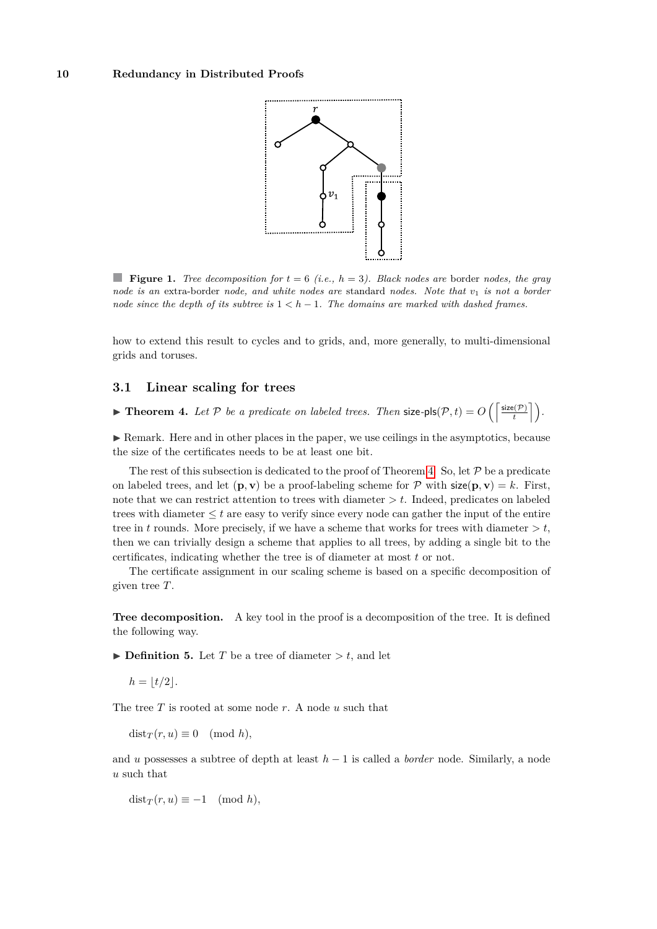<span id="page-9-1"></span>

**Figure 1.** *Tree decomposition for*  $t = 6$  (*i.e.,*  $h = 3$ *). Black nodes are border nodes, the gray node is an* extra-border *node, and white nodes are* standard *nodes. Note that*  $v_1$  *is not a border node since the depth of its subtree is*  $1 < h - 1$ *. The domains are marked with dashed frames.* 

how to extend this result to cycles and to grids, and, more generally, to multi-dimensional grids and toruses.

# **3.1 Linear scaling for trees**

<span id="page-9-0"></span>**Findamerican** 1. Let P be a predicate on labeled trees. Then size-pls $(P, t) = O\left(\left\lceil \frac{\text{size}(P)}{t} \right\rceil\right)$ .

I Remark. Here and in other places in the paper, we use ceilings in the asymptotics, because the size of the certificates needs to be at least one bit.

The rest of this subsection is dedicated to the proof of Theorem [4.](#page-9-0) So, let  $P$  be a predicate on labeled trees, and let  $(\mathbf{p}, \mathbf{v})$  be a proof-labeling scheme for P with size $(\mathbf{p}, \mathbf{v}) = k$ . First, note that we can restrict attention to trees with diameter  $>t$ . Indeed, predicates on labeled trees with diameter  $\leq t$  are easy to verify since every node can gather the input of the entire tree in *t* rounds. More precisely, if we have a scheme that works for trees with diameter  $> t$ , then we can trivially design a scheme that applies to all trees, by adding a single bit to the certificates, indicating whether the tree is of diameter at most *t* or not.

The certificate assignment in our scaling scheme is based on a specific decomposition of given tree *T*.

**Tree decomposition.** A key tool in the proof is a decomposition of the tree. It is defined the following way.

<span id="page-9-2"></span> $\triangleright$  **Definition 5.** Let *T* be a tree of diameter  $>t$ , and let

 $h = |t/2|$ .

The tree *T* is rooted at some node *r*. A node *u* such that

 $dist_T(r, u) \equiv 0 \pmod{h}$ ,

and *u* possesses a subtree of depth at least *h* − 1 is called a *border* node. Similarly, a node *u* such that

$$
dist_T(r, u) \equiv -1 \pmod{h},
$$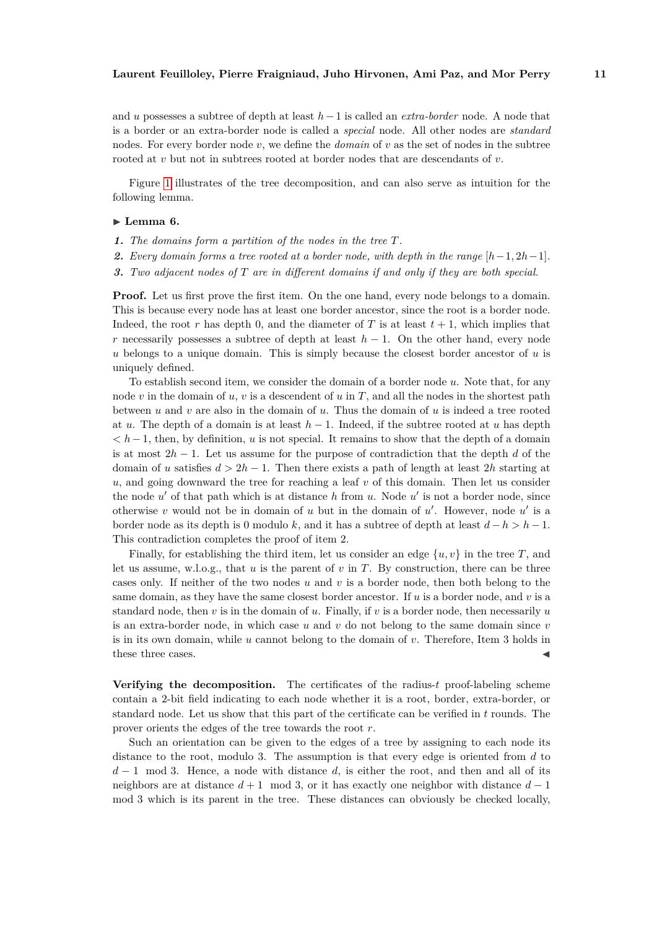and *u* possesses a subtree of depth at least *h*−1 is called an *extra-border* node. A node that is a border or an extra-border node is called a *special* node. All other nodes are *standard* nodes. For every border node *v*, we define the *domain* of *v* as the set of nodes in the subtree rooted at *v* but not in subtrees rooted at border nodes that are descendants of *v*.

Figure [1](#page-9-1) illustrates of the tree decomposition, and can also serve as intuition for the following lemma.

#### <span id="page-10-0"></span> $\blacktriangleright$  Lemma 6.

- *1. The domains form a partition of the nodes in the tree T.*
- 2. Every domain forms a tree rooted at a border node, with depth in the range  $[h-1, 2h-1]$ .
- *3. Two adjacent nodes of T are in different domains if and only if they are both special.*

**Proof.** Let us first prove the first item. On the one hand, every node belongs to a domain. This is because every node has at least one border ancestor, since the root is a border node. Indeed, the root *r* has depth 0, and the diameter of *T* is at least  $t + 1$ , which implies that *r* necessarily possesses a subtree of depth at least  $h-1$ . On the other hand, every node *u* belongs to a unique domain. This is simply because the closest border ancestor of *u* is uniquely defined.

To establish second item, we consider the domain of a border node *u*. Note that, for any node *v* in the domain of *u*, *v* is a descendent of *u* in *T*, and all the nodes in the shortest path between *u* and *v* are also in the domain of *u*. Thus the domain of *u* is indeed a tree rooted at *u*. The depth of a domain is at least *h* − 1. Indeed, if the subtree rooted at *u* has depth  $\langle h - 1$ , then, by definition, *u* is not special. It remains to show that the depth of a domain is at most 2*h* − 1. Let us assume for the purpose of contradiction that the depth *d* of the domain of *u* satisfies  $d > 2h - 1$ . Then there exists a path of length at least 2*h* starting at *u*, and going downward the tree for reaching a leaf *v* of this domain. Then let us consider the node  $u'$  of that path which is at distance  $h$  from  $u$ . Node  $u'$  is not a border node, since otherwise  $v$  would not be in domain of  $u$  but in the domain of  $u'$ . However, node  $u'$  is a border node as its depth is 0 modulo *k*, and it has a subtree of depth at least  $d - h > h - 1$ . This contradiction completes the proof of item 2.

Finally, for establishing the third item, let us consider an edge {*u, v*} in the tree *T*, and let us assume, w.l.o.g., that *u* is the parent of *v* in *T*. By construction, there can be three cases only. If neither of the two nodes *u* and *v* is a border node, then both belong to the same domain, as they have the same closest border ancestor. If *u* is a border node, and *v* is a standard node, then *v* is in the domain of *u*. Finally, if *v* is a border node, then necessarily *u* is an extra-border node, in which case *u* and *v* do not belong to the same domain since *v* is in its own domain, while *u* cannot belong to the domain of *v*. Therefore, Item 3 holds in these three cases.

**Verifying the decomposition.** The certificates of the radius-*t* proof-labeling scheme contain a 2-bit field indicating to each node whether it is a root, border, extra-border, or standard node. Let us show that this part of the certificate can be verified in *t* rounds. The prover orients the edges of the tree towards the root *r*.

Such an orientation can be given to the edges of a tree by assigning to each node its distance to the root, modulo 3. The assumption is that every edge is oriented from *d* to *d* − 1 mod 3. Hence, a node with distance *d*, is either the root, and then and all of its neighbors are at distance *d* + 1 mod 3, or it has exactly one neighbor with distance *d* − 1 mod 3 which is its parent in the tree. These distances can obviously be checked locally,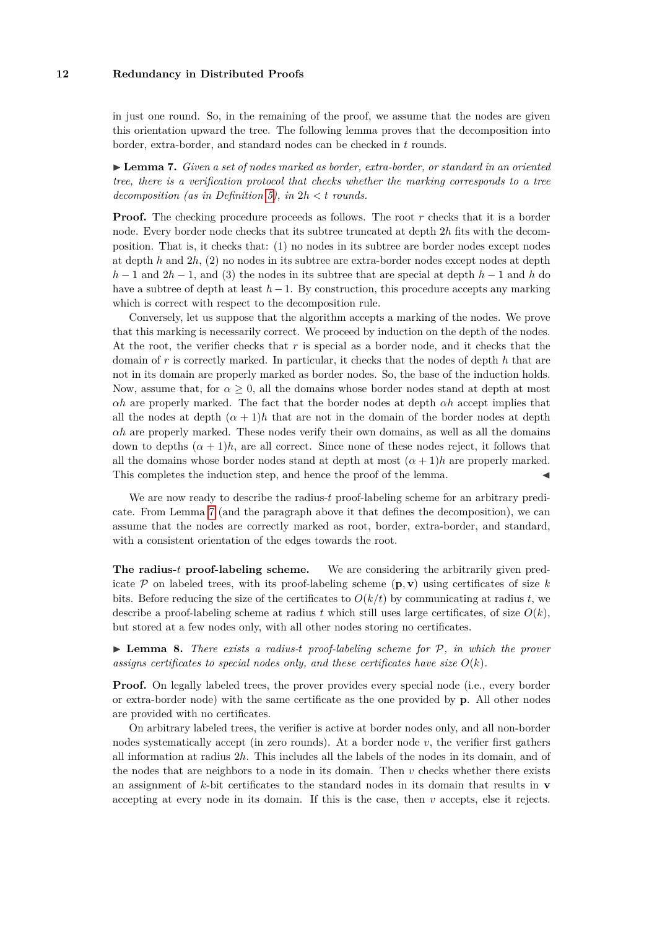in just one round. So, in the remaining of the proof, we assume that the nodes are given this orientation upward the tree. The following lemma proves that the decomposition into border, extra-border, and standard nodes can be checked in *t* rounds.

<span id="page-11-0"></span>I **Lemma 7.** *Given a set of nodes marked as border, extra-border, or standard in an oriented tree, there is a verification protocol that checks whether the marking corresponds to a tree decomposition (as in Definition [5\)](#page-9-2), in* 2*h < t rounds.*

**Proof.** The checking procedure proceeds as follows. The root *r* checks that it is a border node. Every border node checks that its subtree truncated at depth 2*h* fits with the decomposition. That is, it checks that: (1) no nodes in its subtree are border nodes except nodes at depth *h* and 2*h*, (2) no nodes in its subtree are extra-border nodes except nodes at depth  $h-1$  and  $2h-1$ , and (3) the nodes in its subtree that are special at depth  $h-1$  and  $h$  do have a subtree of depth at least *h* − 1. By construction, this procedure accepts any marking which is correct with respect to the decomposition rule.

Conversely, let us suppose that the algorithm accepts a marking of the nodes. We prove that this marking is necessarily correct. We proceed by induction on the depth of the nodes. At the root, the verifier checks that *r* is special as a border node, and it checks that the domain of *r* is correctly marked. In particular, it checks that the nodes of depth *h* that are not in its domain are properly marked as border nodes. So, the base of the induction holds. Now, assume that, for  $\alpha \geq 0$ , all the domains whose border nodes stand at depth at most *αh* are properly marked. The fact that the border nodes at depth *αh* accept implies that all the nodes at depth  $(a+1)h$  that are not in the domain of the border nodes at depth *αh* are properly marked. These nodes verify their own domains, as well as all the domains down to depths  $(\alpha + 1)h$ , are all correct. Since none of these nodes reject, it follows that all the domains whose border nodes stand at depth at most  $(\alpha + 1)h$  are properly marked. This completes the induction step, and hence the proof of the lemma.

We are now ready to describe the radius-*t* proof-labeling scheme for an arbitrary predicate. From Lemma [7](#page-11-0) (and the paragraph above it that defines the decomposition), we can assume that the nodes are correctly marked as root, border, extra-border, and standard, with a consistent orientation of the edges towards the root.

**The radius-***t* **proof-labeling scheme.** We are considering the arbitrarily given predicate  $P$  on labeled trees, with its proof-labeling scheme  $(\mathbf{p}, \mathbf{v})$  using certificates of size  $k$ bits. Before reducing the size of the certificates to  $O(k/t)$  by communicating at radius t, we describe a proof-labeling scheme at radius *t* which still uses large certificates, of size *O*(*k*), but stored at a few nodes only, with all other nodes storing no certificates.

<span id="page-11-1"></span>I **Lemma 8.** *There exists a radius-t proof-labeling scheme for* P*, in which the prover assigns certificates to special nodes only, and these certificates have size*  $O(k)$ *.* 

**Proof.** On legally labeled trees, the prover provides every special node (i.e., every border or extra-border node) with the same certificate as the one provided by **p**. All other nodes are provided with no certificates.

On arbitrary labeled trees, the verifier is active at border nodes only, and all non-border nodes systematically accept (in zero rounds). At a border node *v*, the verifier first gathers all information at radius 2*h*. This includes all the labels of the nodes in its domain, and of the nodes that are neighbors to a node in its domain. Then *v* checks whether there exists an assignment of *k*-bit certificates to the standard nodes in its domain that results in **v** accepting at every node in its domain. If this is the case, then *v* accepts, else it rejects.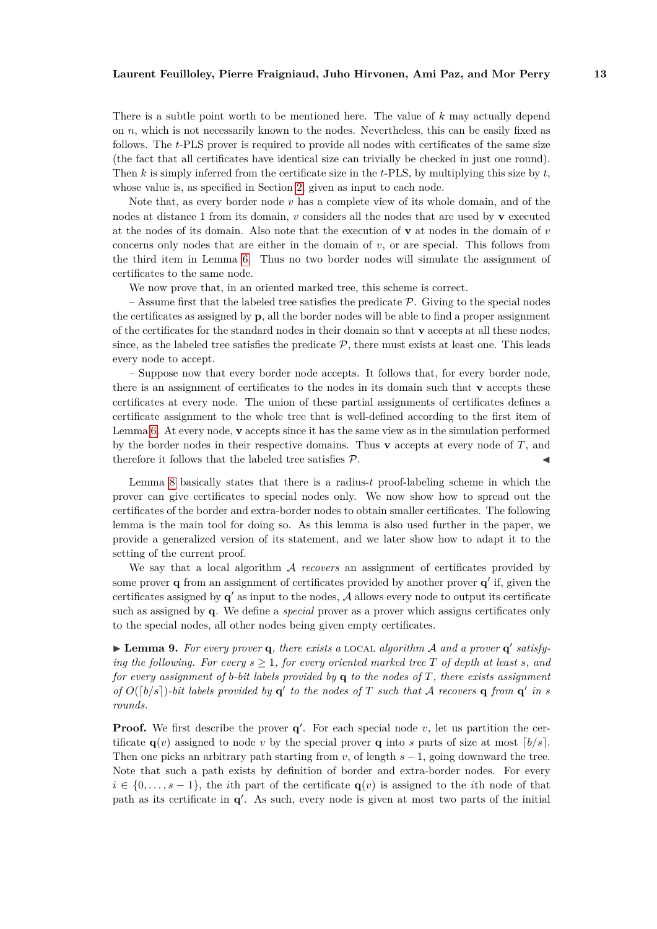There is a subtle point worth to be mentioned here. The value of *k* may actually depend on *n*, which is not necessarily known to the nodes. Nevertheless, this can be easily fixed as follows. The *t*-PLS prover is required to provide all nodes with certificates of the same size (the fact that all certificates have identical size can trivially be checked in just one round). Then *k* is simply inferred from the certificate size in the *t*-PLS, by multiplying this size by *t*, whose value is, as specified in Section [2,](#page-6-1) given as input to each node.

Note that, as every border node *v* has a complete view of its whole domain, and of the nodes at distance 1 from its domain, *v* considers all the nodes that are used by **v** executed at the nodes of its domain. Also note that the execution of **v** at nodes in the domain of *v* concerns only nodes that are either in the domain of *v*, or are special. This follows from the third item in Lemma [6.](#page-10-0) Thus no two border nodes will simulate the assignment of certificates to the same node.

We now prove that, in an oriented marked tree, this scheme is correct.

– Assume first that the labeled tree satisfies the predicate  $P$ . Giving to the special nodes the certificates as assigned by **p**, all the border nodes will be able to find a proper assignment of the certificates for the standard nodes in their domain so that **v** accepts at all these nodes, since, as the labeled tree satisfies the predicate  $P$ , there must exists at least one. This leads every node to accept.

– Suppose now that every border node accepts. It follows that, for every border node, there is an assignment of certificates to the nodes in its domain such that **v** accepts these certificates at every node. The union of these partial assignments of certificates defines a certificate assignment to the whole tree that is well-defined according to the first item of Lemma [6.](#page-10-0) At every node, **v** accepts since it has the same view as in the simulation performed by the border nodes in their respective domains. Thus **v** accepts at every node of *T*, and therefore it follows that the labeled tree satisfies  $P$ .

Lemma [8](#page-11-1) basically states that there is a radius-*t* proof-labeling scheme in which the prover can give certificates to special nodes only. We now show how to spread out the certificates of the border and extra-border nodes to obtain smaller certificates. The following lemma is the main tool for doing so. As this lemma is also used further in the paper, we provide a generalized version of its statement, and we later show how to adapt it to the setting of the current proof.

We say that a local algorithm A *recovers* an assignment of certificates provided by some prover  $q$  from an assignment of certificates provided by another prover  $q'$  if, given the certificates assigned by  $\mathbf{q}'$  as input to the nodes,  $\mathcal A$  allows every node to output its certificate such as assigned by **q**. We define a *special* prover as a prover which assigns certificates only to the special nodes, all other nodes being given empty certificates.

<span id="page-12-0"></span>▶ **Lemma 9.** *For every prover* **q**, there exists a LOCAL algorithm A and a prover **q**' satisfy*ing the following. For every*  $s \geq 1$ *, for every oriented marked tree T of depth at least s, and for every assignment of b-bit labels provided by* **q** *to the nodes of T, there exists assignment of*  $O([b/s])$ -bit labels provided by **q**<sup> $\prime$ </sup> to the nodes of  $T$  such that  $A$  recovers **q** from **q**<sup> $\prime$ </sup> in s *rounds.*

**Proof.** We first describe the prover  $q'$ . For each special node  $v$ , let us partition the certificate  $q(v)$  assigned to node *v* by the special prover q into *s* parts of size at most  $\lceil b/s \rceil$ . Then one picks an arbitrary path starting from *v*, of length  $s - 1$ , going downward the tree. Note that such a path exists by definition of border and extra-border nodes. For every  $i \in \{0, \ldots, s-1\}$ , the *i*th part of the certificate **q**(*v*) is assigned to the *i*th node of that path as its certificate in  $q'$ . As such, every node is given at most two parts of the initial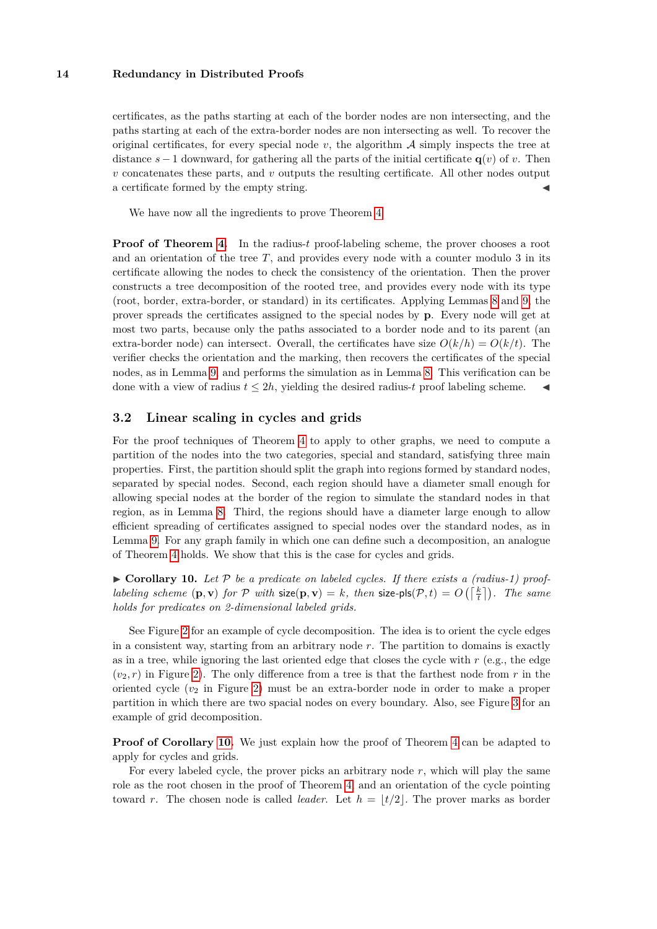certificates, as the paths starting at each of the border nodes are non intersecting, and the paths starting at each of the extra-border nodes are non intersecting as well. To recover the original certificates, for every special node  $v$ , the algorithm  $\mathcal A$  simply inspects the tree at distance  $s - 1$  downward, for gathering all the parts of the initial certificate  $q(v)$  of *v*. Then *v* concatenates these parts, and *v* outputs the resulting certificate. All other nodes output a certificate formed by the empty string.

We have now all the ingredients to prove Theorem [4.](#page-9-0)

**Proof of Theorem [4.](#page-9-0)** In the radius-*t* proof-labeling scheme, the prover chooses a root and an orientation of the tree *T*, and provides every node with a counter modulo 3 in its certificate allowing the nodes to check the consistency of the orientation. Then the prover constructs a tree decomposition of the rooted tree, and provides every node with its type (root, border, extra-border, or standard) in its certificates. Applying Lemmas [8](#page-11-1) and [9,](#page-12-0) the prover spreads the certificates assigned to the special nodes by **p**. Every node will get at most two parts, because only the paths associated to a border node and to its parent (an extra-border node) can intersect. Overall, the certificates have size  $O(k/h) = O(k/t)$ . The verifier checks the orientation and the marking, then recovers the certificates of the special nodes, as in Lemma [9,](#page-12-0) and performs the simulation as in Lemma [8.](#page-11-1) This verification can be done with a view of radius  $t \leq 2h$ , yielding the desired radius-*t* proof labeling scheme.

# **3.2 Linear scaling in cycles and grids**

For the proof techniques of Theorem [4](#page-9-0) to apply to other graphs, we need to compute a partition of the nodes into the two categories, special and standard, satisfying three main properties. First, the partition should split the graph into regions formed by standard nodes, separated by special nodes. Second, each region should have a diameter small enough for allowing special nodes at the border of the region to simulate the standard nodes in that region, as in Lemma [8.](#page-11-1) Third, the regions should have a diameter large enough to allow efficient spreading of certificates assigned to special nodes over the standard nodes, as in Lemma [9.](#page-12-0) For any graph family in which one can define such a decomposition, an analogue of Theorem [4](#page-9-0) holds. We show that this is the case for cycles and grids.

<span id="page-13-0"></span> $\triangleright$  **Corollary 10.** Let  $\mathcal{P}$  be a predicate on labeled cycles. If there exists a (radius-1) proof*labeling scheme*  $(\mathbf{p}, \mathbf{v})$  *for*  $P$  *with*  $\text{size}(\mathbf{p}, \mathbf{v}) = k$ *, then*  $\text{size-} \text{pls}(\mathcal{P}, t) = O\left(\left\lceil \frac{k}{t} \right\rceil\right)$ *. The same holds for predicates on 2-dimensional labeled grids.*

See Figure [2](#page-14-0) for an example of cycle decomposition. The idea is to orient the cycle edges in a consistent way, starting from an arbitrary node *r*. The partition to domains is exactly as in a tree, while ignoring the last oriented edge that closes the cycle with *r* (e.g., the edge  $(v_2, r)$  in Figure [2\)](#page-14-0). The only difference from a tree is that the farthest node from r in the oriented cycle  $(v_2$  in Figure [2\)](#page-14-0) must be an extra-border node in order to make a proper partition in which there are two spacial nodes on every boundary. Also, see Figure [3](#page-14-1) for an example of grid decomposition.

**Proof of Corollary [10.](#page-13-0)** We just explain how the proof of Theorem [4](#page-9-0) can be adapted to apply for cycles and grids.

For every labeled cycle, the prover picks an arbitrary node *r*, which will play the same role as the root chosen in the proof of Theorem [4,](#page-9-0) and an orientation of the cycle pointing toward *r*. The chosen node is called *leader*. Let  $h = |t/2|$ . The prover marks as border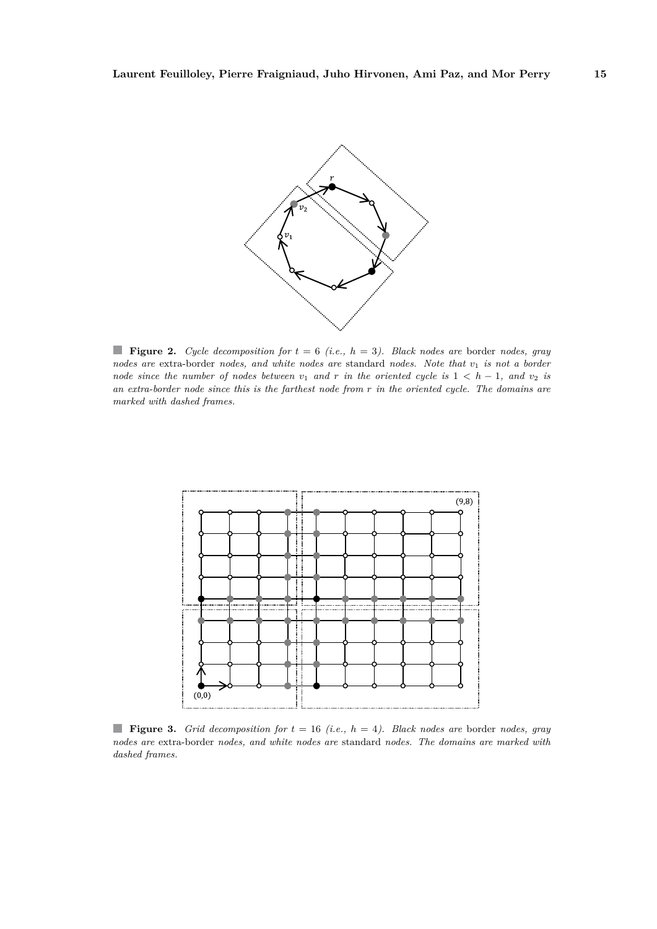<span id="page-14-0"></span>

**Figure 2.** *Cycle decomposition for*  $t = 6$  *(i.e.,*  $h = 3$ *). Black nodes are border nodes, gray nodes are* extra-border *nodes, and white nodes are* standard *nodes. Note that v*<sup>1</sup> *is not a border node since the number of nodes between*  $v_1$  *and*  $r$  *in the oriented cycle is*  $1 < h - 1$ *, and*  $v_2$  *is an extra-border node since this is the farthest node from r in the oriented cycle. The domains are marked with dashed frames.*

<span id="page-14-1"></span>

**Figure 3.** *Grid decomposition for*  $t = 16$  *(i.e.,*  $h = 4$ *). Black nodes are border nodes, gray nodes are* extra-border *nodes, and white nodes are* standard *nodes. The domains are marked with dashed frames.*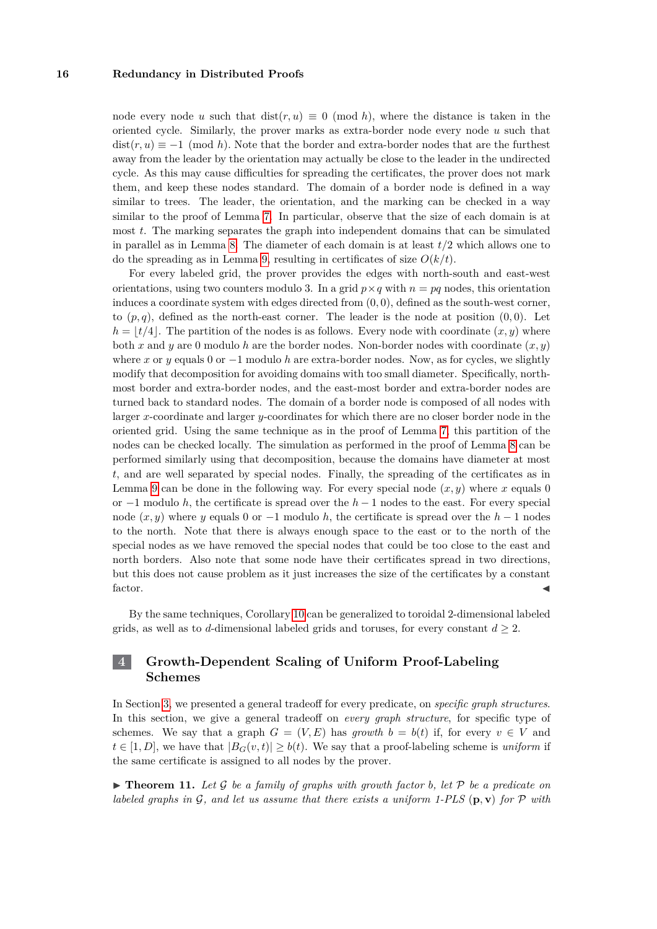node every node *u* such that  $dist(r, u) \equiv 0 \pmod{h}$ , where the distance is taken in the oriented cycle. Similarly, the prover marks as extra-border node every node *u* such that  $dist(r, u) \equiv -1 \pmod{h}$ . Note that the border and extra-border nodes that are the furthest away from the leader by the orientation may actually be close to the leader in the undirected cycle. As this may cause difficulties for spreading the certificates, the prover does not mark them, and keep these nodes standard. The domain of a border node is defined in a way similar to trees. The leader, the orientation, and the marking can be checked in a way similar to the proof of Lemma [7.](#page-11-0) In particular, observe that the size of each domain is at most *t*. The marking separates the graph into independent domains that can be simulated in parallel as in Lemma [8.](#page-11-1) The diameter of each domain is at least *t/*2 which allows one to do the spreading as in Lemma [9,](#page-12-0) resulting in certificates of size *O*(*k/t*).

For every labeled grid, the prover provides the edges with north-south and east-west orientations, using two counters modulo 3. In a grid  $p \times q$  with  $n = pq$  nodes, this orientation induces a coordinate system with edges directed from (0*,* 0), defined as the south-west corner, to  $(p, q)$ , defined as the north-east corner. The leader is the node at position  $(0, 0)$ . Let  $h = |t/4|$ . The partition of the nodes is as follows. Every node with coordinate  $(x, y)$  where both x and y are 0 modulo h are the border nodes. Non-border nodes with coordinate  $(x, y)$ where *x* or *y* equals 0 or  $-1$  modulo *h* are extra-border nodes. Now, as for cycles, we slightly modify that decomposition for avoiding domains with too small diameter. Specifically, northmost border and extra-border nodes, and the east-most border and extra-border nodes are turned back to standard nodes. The domain of a border node is composed of all nodes with larger *x*-coordinate and larger *y*-coordinates for which there are no closer border node in the oriented grid. Using the same technique as in the proof of Lemma [7,](#page-11-0) this partition of the nodes can be checked locally. The simulation as performed in the proof of Lemma [8](#page-11-1) can be performed similarly using that decomposition, because the domains have diameter at most *t*, and are well separated by special nodes. Finally, the spreading of the certificates as in Lemma [9](#page-12-0) can be done in the following way. For every special node  $(x, y)$  where  $x$  equals 0 or −1 modulo *h*, the certificate is spread over the *h* − 1 nodes to the east. For every special node  $(x, y)$  where *y* equals 0 or −1 modulo *h*, the certificate is spread over the *h* − 1 nodes to the north. Note that there is always enough space to the east or to the north of the special nodes as we have removed the special nodes that could be too close to the east and north borders. Also note that some node have their certificates spread in two directions, but this does not cause problem as it just increases the size of the certificates by a constant  $factor.$ 

By the same techniques, Corollary [10](#page-13-0) can be generalized to toroidal 2-dimensional labeled grids, as well as to  $d$ -dimensional labeled grids and toruses, for every constant  $d \geq 2$ .

# <span id="page-15-0"></span>**4 Growth-Dependent Scaling of Uniform Proof-Labeling Schemes**

In Section [3,](#page-8-0) we presented a general tradeoff for every predicate, on *specific graph structures*. In this section, we give a general tradeoff on *every graph structure*, for specific type of schemes. We say that a graph  $G = (V, E)$  has *growth*  $b = b(t)$  if, for every  $v \in V$  and  $t \in [1, D]$ , we have that  $|B_G(v, t)| \ge b(t)$ . We say that a proof-labeling scheme is *uniform* if the same certificate is assigned to all nodes by the prover.

<span id="page-15-1"></span> $\triangleright$  **Theorem 11.** Let G be a family of graphs with growth factor b, let P be a predicate on *labeled graphs in* G*, and let us assume that there exists a uniform 1-PLS* (**p***,* **v**) *for* P *with*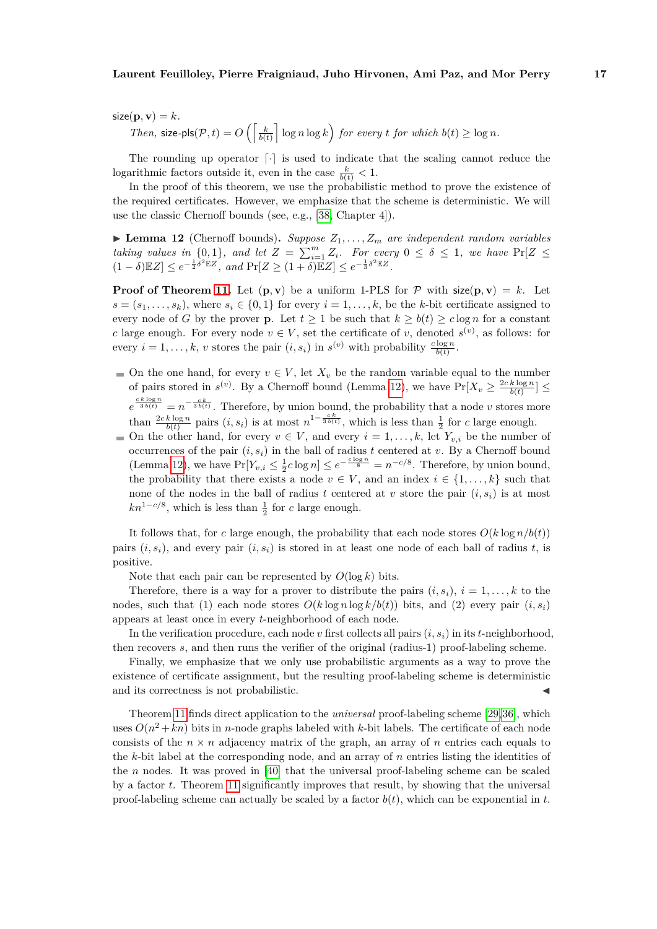$size(\mathbf{p}, \mathbf{v}) = k$ *.* 

*Then,* size-pls $(P, t) = O\left(\left[\frac{k}{b(t)}\right] \log n \log k\right)$  *for every t for which*  $b(t) \geq \log n$ *.* 

The rounding up operator  $\lceil \cdot \rceil$  is used to indicate that the scaling cannot reduce the logarithmic factors outside it, even in the case  $\frac{k}{b(t)} < 1$ .

In the proof of this theorem, we use the probabilistic method to prove the existence of the required certificates. However, we emphasize that the scheme is deterministic. We will use the classic Chernoff bounds (see, e.g., [\[38,](#page-29-15) Chapter 4]).

<span id="page-16-0"></span> $\blacktriangleright$  **Lemma 12** (Chernoff bounds). *Suppose*  $Z_1, \ldots, Z_m$  *are independent random variables taking values in*  $\{0,1\}$ *, and let*  $Z = \sum_{i=1}^{m} Z_i$ *. For every*  $0 \le \delta \le 1$ *, we have*  $\Pr[Z \le$  $(1 - \delta) \mathbb{E} Z] \leq e^{-\frac{1}{2}\delta^2 \mathbb{E} Z}$ , and  $\Pr[Z \geq (1 + \delta) \mathbb{E} Z] \leq e^{-\frac{1}{3}\delta^2 \mathbb{E} Z}$ .

**Proof of Theorem [11.](#page-15-1)** Let  $(\mathbf{p}, \mathbf{v})$  be a uniform 1-PLS for  $\mathcal{P}$  with size $(\mathbf{p}, \mathbf{v}) = k$ . Let  $s = (s_1, \ldots, s_k)$ , where  $s_i \in \{0,1\}$  for every  $i = 1, \ldots, k$ , be the *k*-bit certificate assigned to every node of *G* by the prover **p**. Let  $t \geq 1$  be such that  $k \geq b(t) \geq c \log n$  for a constant *c* large enough. For every node  $v \in V$ , set the certificate of *v*, denoted  $s^{(v)}$ , as follows: for every  $i = 1, \ldots, k$ , *v* stores the pair  $(i, s_i)$  in  $s^{(v)}$  with probability  $\frac{c \log n}{b(t)}$ .

- On the one hand, for every  $v \in V$ , let  $X_v$  be the random variable equal to the number of pairs stored in  $s^{(v)}$ . By a Chernoff bound (Lemma [12\)](#page-16-0), we have  $Pr[X_v \geq \frac{2c k \log n}{b(t)}] \leq$  $e^{\frac{c k \log n}{3 b(t)}} = n^{-\frac{c k}{3 b(t)}}$ . Therefore, by union bound, the probability that a node *v* stores more than  $\frac{2c k \log n}{b(t)}$  pairs  $(i, s_i)$  is at most  $n^{1-\frac{c k}{3b(t)}}$ , which is less than  $\frac{1}{2}$  for *c* large enough.
- On the other hand, for every  $v \in V$ , and every  $i = 1, \ldots, k$ , let  $Y_{v,i}$  be the number of occurrences of the pair  $(i, s_i)$  in the ball of radius *t* centered at *v*. By a Chernoff bound (Lemma [12\)](#page-16-0), we have  $Pr[Y_{v,i} \leq \frac{1}{2}c \log n] \leq e^{-\frac{c \log n}{8}} = n^{-c/8}$ . Therefore, by union bound, the probability that there exists a node  $v \in V$ , and an index  $i \in \{1, \ldots, k\}$  such that none of the nodes in the ball of radius *t* centered at *v* store the pair  $(i, s_i)$  is at most  $kn^{1-c/8}$ , which is less than  $\frac{1}{2}$  for *c* large enough.

It follows that, for *c* large enough, the probability that each node stores  $O(k \log n/b(t))$ pairs  $(i, s_i)$ , and every pair  $(i, s_i)$  is stored in at least one node of each ball of radius *t*, is positive.

Note that each pair can be represented by  $O(\log k)$  bits.

Therefore, there is a way for a prover to distribute the pairs  $(i, s_i)$ ,  $i = 1, \ldots, k$  to the nodes, such that (1) each node stores  $O(k \log n \log k/b(t))$  bits, and (2) every pair  $(i, s_i)$ appears at least once in every *t*-neighborhood of each node.

In the verification procedure, each node  $v$  first collects all pairs  $(i, s_i)$  in its *t*-neighborhood, then recovers *s*, and then runs the verifier of the original (radius-1) proof-labeling scheme.

Finally, we emphasize that we only use probabilistic arguments as a way to prove the existence of certificate assignment, but the resulting proof-labeling scheme is deterministic and its correctness is not probabilistic.

Theorem [11](#page-15-1) finds direct application to the *universal* proof-labeling scheme [\[29,](#page-29-1)[36\]](#page-29-0), which uses  $O(n^2 + kn)$  bits in *n*-node graphs labeled with *k*-bit labels. The certificate of each node consists of the  $n \times n$  adjacency matrix of the graph, an array of *n* entries each equals to the *k*-bit label at the corresponding node, and an array of *n* entries listing the identities of the *n* nodes. It was proved in [\[40\]](#page-29-5) that the universal proof-labeling scheme can be scaled by a factor *t*. Theorem [11](#page-15-1) significantly improves that result, by showing that the universal proof-labeling scheme can actually be scaled by a factor  $b(t)$ , which can be exponential in  $t$ .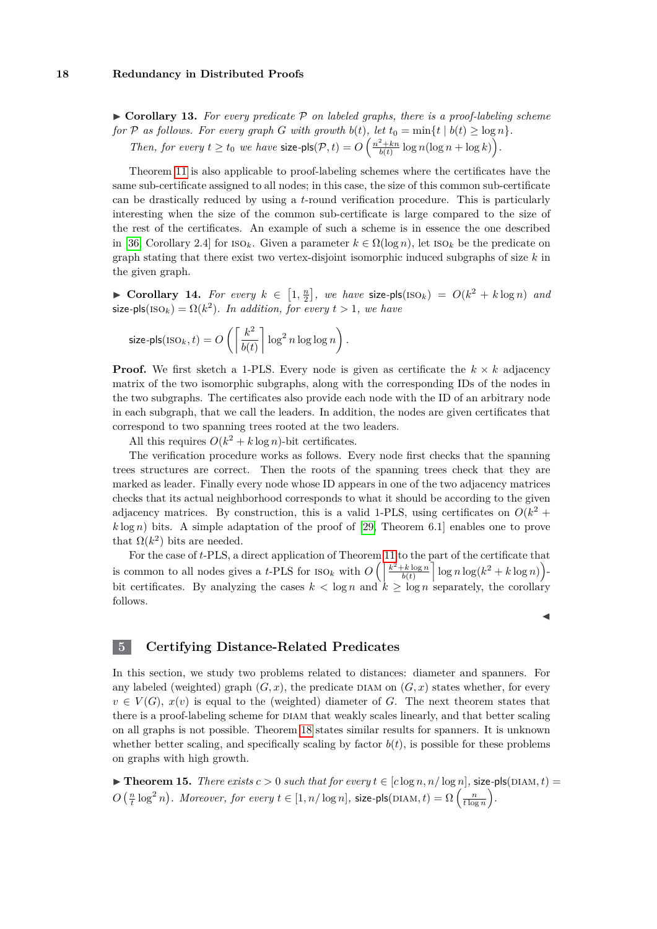<span id="page-17-0"></span> $\triangleright$  **Corollary 13.** For every predicate  $\mathcal{P}$  on labeled graphs, there is a proof-labeling scheme *for*  $P$  *as follows. For every graph G with growth*  $b(t)$ *, let*  $t_0 = \min\{t \mid b(t) \geq \log n\}$ *. Then, for every*  $t \ge t_0$  *we have* size-pls $(\mathcal{P}, t) = O\left(\frac{n^2 + kn}{b(t)}\log n(\log n + \log k)\right)$ .

Theorem [11](#page-15-1) is also applicable to proof-labeling schemes where the certificates have the same sub-certificate assigned to all nodes; in this case, the size of this common sub-certificate can be drastically reduced by using a *t*-round verification procedure. This is particularly interesting when the size of the common sub-certificate is large compared to the size of the rest of the certificates. An example of such a scheme is in essence the one described in [\[36,](#page-29-0) Corollary 2.4] for  $\text{iso}_k$ . Given a parameter  $k \in \Omega(\log n)$ , let  $\text{iso}_k$  be the predicate on graph stating that there exist two vertex-disjoint isomorphic induced subgraphs of size *k* in the given graph.

▶ **Corollary 14.** *For every*  $k \in [1, \frac{n}{2}]$ , *we have* size-pls(ISO<sub>k</sub>) =  $O(k^2 + k \log n)$  *and*  $\textsf{size-pls}(\text{ISO}_k) = \Omega(k^2)$ . In addition, for every  $t > 1$ , we have

$$
\text{size-pls}(\text{ISO}_k, t) = O\left(\left\lceil \frac{k^2}{b(t)} \right\rceil \log^2 n \log \log n\right).
$$

**Proof.** We first sketch a 1-PLS. Every node is given as certificate the  $k \times k$  adjacency matrix of the two isomorphic subgraphs, along with the corresponding IDs of the nodes in the two subgraphs. The certificates also provide each node with the ID of an arbitrary node in each subgraph, that we call the leaders. In addition, the nodes are given certificates that correspond to two spanning trees rooted at the two leaders.

All this requires  $O(k^2 + k \log n)$ -bit certificates.

The verification procedure works as follows. Every node first checks that the spanning trees structures are correct. Then the roots of the spanning trees check that they are marked as leader. Finally every node whose ID appears in one of the two adjacency matrices checks that its actual neighborhood corresponds to what it should be according to the given adjacency matrices. By construction, this is a valid 1-PLS, using certificates on  $O(k^2 +$  $k \log n$ ) bits. A simple adaptation of the proof of [\[29,](#page-29-1) Theorem 6.1] enables one to prove that  $\Omega(k^2)$  bits are needed.

For the case of *t*-PLS, a direct application of Theorem [11](#page-15-1) to the part of the certificate that is common to all nodes gives a *t*-PLS for  $\text{ISO}_k$  with  $O\left(\left\lceil \frac{k^2 + k \log n}{b(t)} \right\rceil \log n \log(k^2 + k \log n)\right)$ bit certificates. By analyzing the cases  $k < \log n$  and  $k \geq \log n$  separately, the corollary follows.

 $\blacktriangleleft$ 

### <span id="page-17-1"></span>**5 Certifying Distance-Related Predicates**

In this section, we study two problems related to distances: diameter and spanners. For any labeled (weighted) graph  $(G, x)$ , the predicate DIAM on  $(G, x)$  states whether, for every  $v \in V(G)$ ,  $x(v)$  is equal to the (weighted) diameter of *G*. The next theorem states that there is a proof-labeling scheme for DIAM that weakly scales linearly, and that better scaling on all graphs is not possible. Theorem [18](#page-23-0) states similar results for spanners. It is unknown whether better scaling, and specifically scaling by factor  $b(t)$ , is possible for these problems on graphs with high growth.

<span id="page-17-2"></span>▶ **Theorem 15.** *There exists*  $c > 0$  *such that for every*  $t \in [c \log n, n / \log n]$ *, size-pls*(DIAM*, t*) =  $O\left(\frac{n}{t}\log^2 n\right)$ *. Moreover, for every*  $t \in [1, n/\log n]$ *,* size-pls(DIAM*, t*) =  $\Omega\left(\frac{n}{t\log n}\right)$ *.*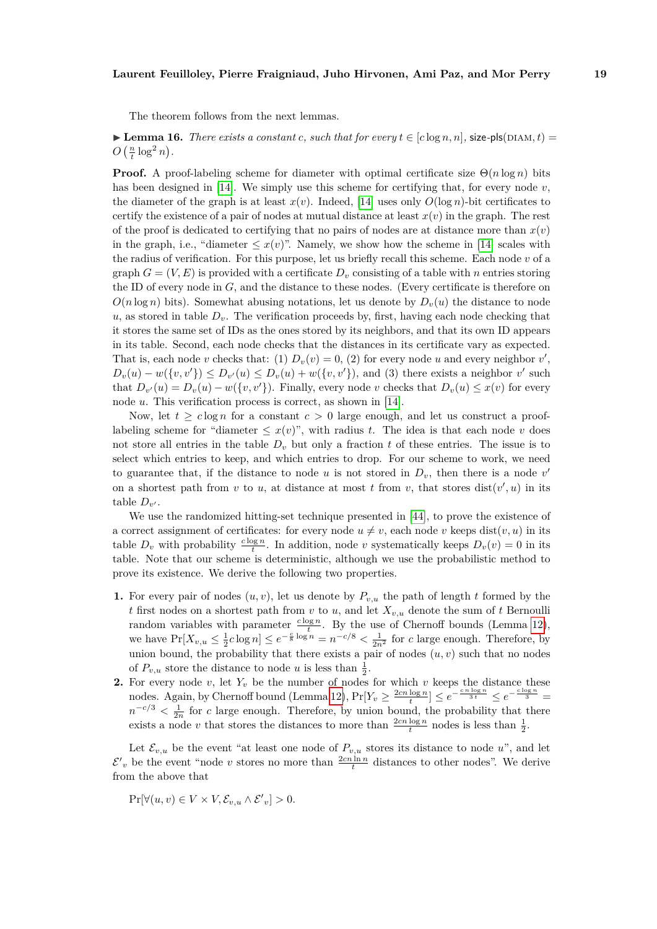The theorem follows from the next lemmas.

<span id="page-18-0"></span>▶ **Lemma 16.** *There exists a constant c, such that for every*  $t \in [c \log n, n]$ , size-pls(DIAM, t) =  $O\left(\frac{n}{t}\log^2 n\right)$ .

**Proof.** A proof-labeling scheme for diameter with optimal certificate size  $\Theta(n \log n)$  bits has been designed in [\[14\]](#page-28-4). We simply use this scheme for certifying that, for every node  $v$ , the diameter of the graph is at least  $x(v)$ . Indeed, [\[14\]](#page-28-4) uses only  $O(\log n)$ -bit certificates to certify the existence of a pair of nodes at mutual distance at least  $x(v)$  in the graph. The rest of the proof is dedicated to certifying that no pairs of nodes are at distance more than  $x(v)$ in the graph, i.e., "diameter  $\leq x(v)$ ". Namely, we show how the scheme in [\[14\]](#page-28-4) scales with the radius of verification. For this purpose, let us briefly recall this scheme. Each node *v* of a graph  $G = (V, E)$  is provided with a certificate  $D<sub>v</sub>$  consisting of a table with *n* entries storing the ID of every node in *G*, and the distance to these nodes. (Every certificate is therefore on  $O(n \log n)$  bits). Somewhat abusing notations, let us denote by  $D_v(u)$  the distance to node  $u$ , as stored in table  $D_v$ . The verification proceeds by, first, having each node checking that it stores the same set of IDs as the ones stored by its neighbors, and that its own ID appears in its table. Second, each node checks that the distances in its certificate vary as expected. That is, each node *v* checks that: (1)  $D_v(v) = 0$ , (2) for every node *u* and every neighbor *v*',  $D_v(u) - w({v, v'}) \leq D_{v'}(u) \leq D_v(u) + w({v, v'})$ , and (3) there exists a neighbor *v*' such that  $D_{v'}(u) = D_{v}(u) - w({v, v')})$ . Finally, every node *v* checks that  $D_{v}(u) \leq x(v)$  for every node *u*. This verification process is correct, as shown in [\[14\]](#page-28-4).

Now, let  $t \geq c \log n$  for a constant  $c > 0$  large enough, and let us construct a prooflabeling scheme for "diameter  $\leq x(v)$ ", with radius *t*. The idea is that each node *v* does not store all entries in the table  $D<sub>v</sub>$  but only a fraction  $t$  of these entries. The issue is to select which entries to keep, and which entries to drop. For our scheme to work, we need to guarantee that, if the distance to node  $u$  is not stored in  $D_v$ , then there is a node  $v'$ on a shortest path from  $v$  to  $u$ , at distance at most  $t$  from  $v$ , that stores  $dist(v', u)$  in its table  $D_{v'}$ .

We use the randomized hitting-set technique presented in [\[44\]](#page-30-1), to prove the existence of a correct assignment of certificates: for every node  $u \neq v$ , each node v keeps dist(v, u) in its table  $D_v$  with probability  $\frac{c \log n}{t}$ . In addition, node *v* systematically keeps  $D_v(v) = 0$  in its table. Note that our scheme is deterministic, although we use the probabilistic method to prove its existence. We derive the following two properties.

- **1.** For every pair of nodes  $(u, v)$ , let us denote by  $P_{v, u}$  the path of length *t* formed by the *t* first nodes on a shortest path from *v* to *u*, and let  $X_{v,u}$  denote the sum of *t* Bernoulli random variables with parameter  $\frac{c \log n}{t}$ . By the use of Chernoff bounds (Lemma [12\)](#page-16-0), we have  $Pr[X_{v,u} \leq \frac{1}{2}c \log n] \leq e^{-\frac{c}{8} \log n} = n^{-c/8} < \frac{1}{2n^2}$  for *c* large enough. Therefore, by union bound, the probability that there exists a pair of nodes  $(u, v)$  such that no nodes of  $P_{v,u}$  store the distance to node *u* is less than  $\frac{1}{2}$ .
- **2.** For every node  $v$ , let  $Y_v$  be the number of nodes for which  $v$  keeps the distance these nodes. Again, by Chernoff bound (Lemma [12\)](#page-16-0),  $Pr[Y_v \geq \frac{2cn \log n}{t}] \leq e^{-\frac{cn \log n}{3t}} \leq e^{-\frac{c \log n}{3}} =$  $n^{-c/3} < \frac{1}{2n}$  for *c* large enough. Therefore, by union bound, the probability that there exists a node *v* that stores the distances to more than  $\frac{2cn\log n}{t}$  nodes is less than  $\frac{1}{2}$ .

Let  $\mathcal{E}_{v,u}$  be the event "at least one node of  $P_{v,u}$  stores its distance to node  $u$ ", and let  $\mathcal{E}'_v$  be the event "node *v* stores no more than  $\frac{2cn\ln n}{t}$  distances to other nodes". We derive from the above that

$$
\Pr[\forall (u, v) \in V \times V, \mathcal{E}_{v, u} \wedge \mathcal{E'}_v] > 0.
$$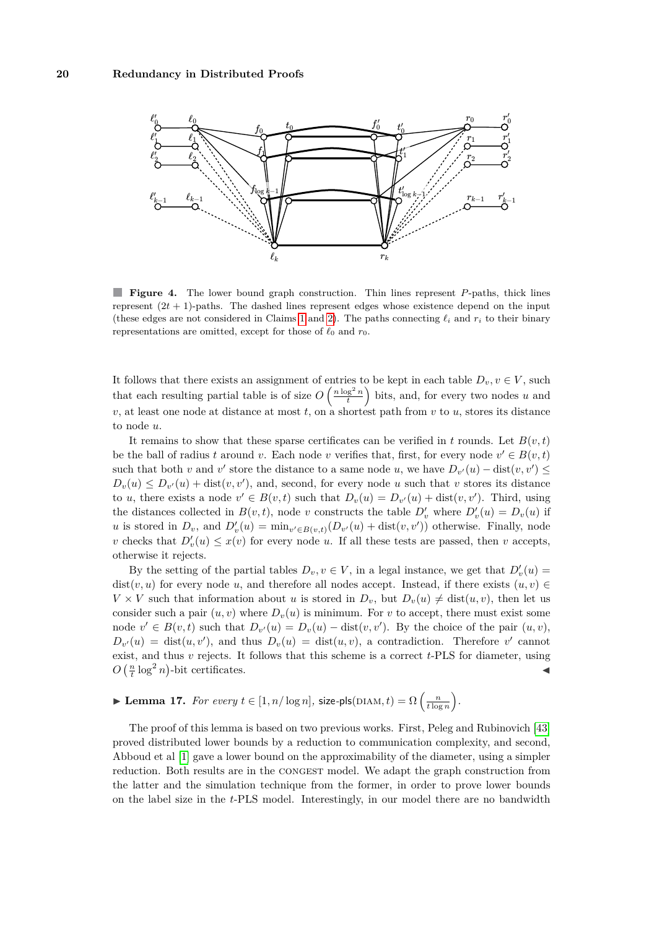<span id="page-19-0"></span>

**Figure 4.** The lower bound graph construction. Thin lines represent *P*-paths, thick lines represent  $(2t + 1)$ -paths. The dashed lines represent edges whose existence depend on the input (these edges are not considered in Claims [1](#page-20-0) and [2\)](#page-21-0). The paths connecting  $\ell_i$  and  $r_i$  to their binary representations are omitted, except for those of  $\ell_0$  and  $r_0$ .

It follows that there exists an assignment of entries to be kept in each table  $D_v, v \in V$ , such that each resulting partial table is of size  $O\left(\frac{n \log^2 n}{t}\right)$  bits, and, for every two nodes *u* and *v*, at least one node at distance at most *t*, on a shortest path from *v* to *u*, stores its distance to node *u*.

It remains to show that these sparse certificates can be verified in *t* rounds. Let  $B(v,t)$ be the ball of radius *t* around *v*. Each node *v* verifies that, first, for every node  $v' \in B(v,t)$ such that both *v* and *v*' store the distance to a same node *u*, we have  $D_{v'}(u) - \text{dist}(v, v') \leq$  $D_v(u) \leq D_{v'}(u) + \text{dist}(v, v')$ , and, second, for every node *u* such that *v* stores its distance to *u*, there exists a node  $v' \in B(v,t)$  such that  $D_v(u) = D_{v'}(u) + \text{dist}(v, v')$ . Third, using the distances collected in  $B(v, t)$ , node *v* constructs the table  $D'_v$  where  $D'_v(u) = D_v(u)$  if *u* is stored in  $D_v$ , and  $D'_v(u) = \min_{v' \in B(v,t)} (D_{v'}(u) + \text{dist}(v, v'))$  otherwise. Finally, node *v* checks that  $D'_v(u) \leq x(v)$  for every node *u*. If all these tests are passed, then *v* accepts, otherwise it rejects.

By the setting of the partial tables  $D_v, v \in V$ , in a legal instance, we get that  $D'_v(u) =$ dist $(v, u)$  for every node *u*, and therefore all nodes accept. Instead, if there exists  $(u, v) \in$  $V \times V$  such that information about *u* is stored in  $D_v$ , but  $D_v(u) \neq \text{dist}(u, v)$ , then let us consider such a pair  $(u, v)$  where  $D_v(u)$  is minimum. For *v* to accept, there must exist some node  $v' \in B(v, t)$  such that  $D_{v'}(u) = D_{v}(u) - \text{dist}(v, v')$ . By the choice of the pair  $(u, v)$ ,  $D_{v'}(u) = \text{dist}(u, v')$ , and thus  $D_{v}(u) = \text{dist}(u, v)$ , a contradiction. Therefore *v*' cannot exist, and thus *v* rejects. It follows that this scheme is a correct *t*-PLS for diameter, using  $O\left(\frac{n}{t}\log^2 n\right)$ -bit certificates.

# <span id="page-19-1"></span>▶ **Lemma 17.** *For every*  $t \in [1, n/\log n]$ , size-pls(DIAM,  $t$ ) =  $\Omega\left(\frac{n}{t \log n}\right)$ .

The proof of this lemma is based on two previous works. First, Peleg and Rubinovich [\[43\]](#page-29-7) proved distributed lower bounds by a reduction to communication complexity, and second, Abboud et al [\[1\]](#page-27-4) gave a lower bound on the approximability of the diameter, using a simpler reduction. Both results are in the congest model. We adapt the graph construction from the latter and the simulation technique from the former, in order to prove lower bounds on the label size in the *t*-PLS model. Interestingly, in our model there are no bandwidth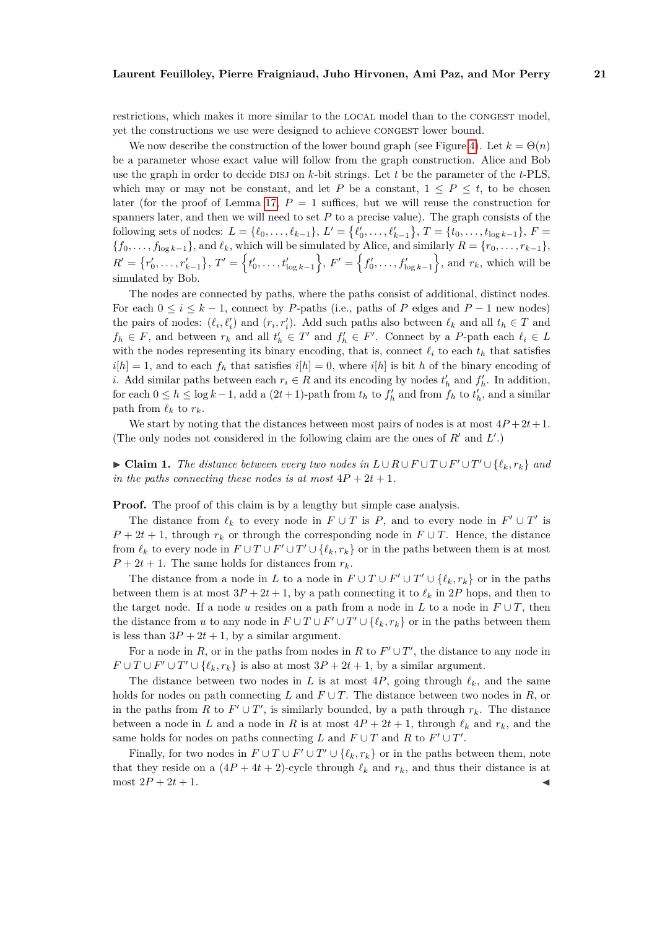restrictions, which makes it more similar to the local model than to the congest model, yet the constructions we use were designed to achieve CONGEST lower bound.

We now describe the construction of the lower bound graph (see Figure [4\)](#page-19-0). Let  $k = \Theta(n)$ be a parameter whose exact value will follow from the graph construction. Alice and Bob use the graph in order to decide disj on *k*-bit strings. Let *t* be the parameter of the *t*-PLS, which may or may not be constant, and let *P* be a constant,  $1 \leq P \leq t$ , to be chosen later (for the proof of Lemma [17,](#page-19-1)  $P = 1$  suffices, but we will reuse the construction for spanners later, and then we will need to set *P* to a precise value). The graph consists of the following sets of nodes:  $L = \{\ell_0, \ldots, \ell_{k-1}\}, L' = \{\ell'_0, \ldots, \ell'_{k-1}\}, T = \{t_0, \ldots, t_{\log k-1}\}, F =$  ${f_0, \ldots, f_{\log k-1}}$ , and  $\ell_k$ , which will be simulated by Alice, and similarly  $R = {r_0, \ldots, r_{k-1}}$ ,  $R' = \{r'_0, \ldots, r'_{k-1}\}, T' = \{t'_0, \ldots, t'_{\log k-1}\}, F' = \{f'_0, \ldots, f'_{\log k-1}\}, \text{ and } r_k \text{, which will be}$ simulated by Bob.

The nodes are connected by paths, where the paths consist of additional, distinct nodes. For each  $0 \leq i \leq k-1$ , connect by *P*-paths (i.e., paths of *P* edges and  $P-1$  new nodes) the pairs of nodes:  $(\ell_i, \ell'_i)$  and  $(r_i, r'_i)$ . Add such paths also between  $\ell_k$  and all  $t_h \in T$  and  $f_h \in F$ , and between  $r_k$  and all  $t'_h \in T'$  and  $f'_h \in F'$ . Connect by a *P*-path each  $\ell_i \in L$ with the nodes representing its binary encoding, that is, connect  $\ell_i$  to each  $t_h$  that satisfies  $i[h] = 1$ , and to each  $f_h$  that satisfies  $i[h] = 0$ , where  $i[h]$  is bit *h* of the binary encoding of *i*. Add similar paths between each  $r_i \in R$  and its encoding by nodes  $t'_h$  and  $f'_h$ . In addition, for each  $0 \le h \le \log k - 1$ , add a  $(2t + 1)$ -path from  $t_h$  to  $f'_h$  and from  $f_h$  to  $t'_h$ , and a similar path from  $\ell_k$  to  $r_k$ .

We start by noting that the distances between most pairs of nodes is at most  $4P + 2t + 1$ . (The only nodes not considered in the following claim are the ones of  $R'$  and  $L'$ .)

<span id="page-20-0"></span>▶ **Claim 1.** *The distance between every two nodes in*  $L \cup R \cup F \cup T \cup F' \cup T' \cup \{\ell_k, r_k\}$  *and in the paths connecting these nodes is at most*  $4P + 2t + 1$ .

**Proof.** The proof of this claim is by a lengthy but simple case analysis.

The distance from  $\ell_k$  to every node in  $F \cup T$  is *P*, and to every node in  $F' \cup T'$  is  $P + 2t + 1$ , through  $r_k$  or through the corresponding node in  $F \cup T$ . Hence, the distance from  $\ell_k$  to every node in  $F \cup T \cup F' \cup T' \cup \{\ell_k, r_k\}$  or in the paths between them is at most  $P + 2t + 1$ . The same holds for distances from  $r_k$ .

The distance from a node in *L* to a node in  $F \cup T \cup F' \cup T' \cup \{\ell_k, r_k\}$  or in the paths between them is at most  $3P + 2t + 1$ , by a path connecting it to  $\ell_k$  in 2*P* hops, and then to the target node. If a node *u* resides on a path from a node in  $L$  to a node in  $F \cup T$ , then the distance from *u* to any node in  $F \cup T \cup F' \cup T' \cup \{\ell_k, r_k\}$  or in the paths between them is less than  $3P + 2t + 1$ , by a similar argument.

For a node in *R*, or in the paths from nodes in *R* to  $F' \cup T'$ , the distance to any node in  $F \cup T \cup F' \cup T' \cup \{\ell_k, r_k\}$  is also at most  $3P + 2t + 1$ , by a similar argument.

The distance between two nodes in *L* is at most  $4P$ , going through  $\ell_k$ , and the same holds for nodes on path connecting *L* and *F* ∪ *T*. The distance between two nodes in *R*, or in the paths from *R* to  $F' \cup T'$ , is similarly bounded, by a path through  $r_k$ . The distance between a node in *L* and a node in *R* is at most  $4P + 2t + 1$ , through  $\ell_k$  and  $r_k$ , and the same holds for nodes on paths connecting *L* and  $F \cup T$  and  $R$  to  $F' \cup T'$ .

Finally, for two nodes in  $F \cup T \cup F' \cup T' \cup \{\ell_k, r_k\}$  or in the paths between them, note that they reside on a  $(4P + 4t + 2)$ -cycle through  $\ell_k$  and  $r_k$ , and thus their distance is at most  $2P + 2t + 1$ .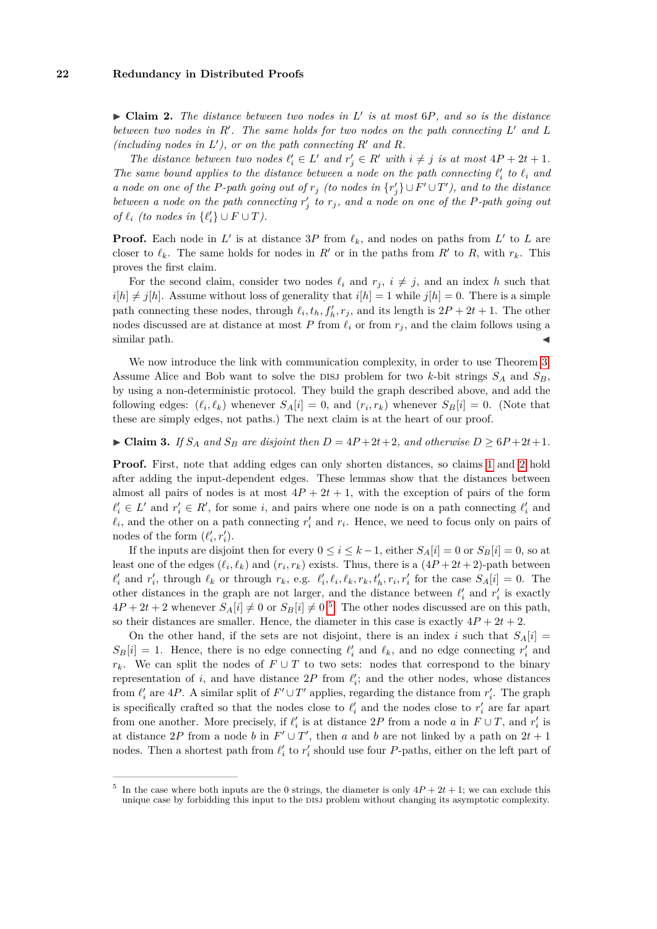<span id="page-21-0"></span>▶ **Claim 2.** *The distance between two nodes in L' is at most* 6*P, and so is the distance between two nodes in*  $R'$ . The same holds for two nodes on the path connecting  $L'$  and  $L$ (including nodes in  $L'$ ), or on the path connecting  $R'$  and  $R$ *.* 

*The distance between two nodes*  $\ell'_i \in L'$  *and*  $r'_j \in R'$  *with*  $i \neq j$  *is at most*  $4P + 2t + 1$ *. The same bound applies to the distance between a node on the path connecting*  $\ell'_i$  to  $\ell_i$  and *a* node on one of the P-path going out of  $r_j$  (to nodes in  $\{r'_j\} \cup F' \cup T'$ ), and to the distance between a node on the path connecting  $r'_{j}$  to  $r_{j}$ , and a node on one of the P-path going out *of*  $\ell_i$  *(to nodes in*  $\{\ell'_i\} \cup F \cup T$ *).* 

**Proof.** Each node in  $L'$  is at distance 3P from  $\ell_k$ , and nodes on paths from  $L'$  to  $L$  are closer to  $\ell_k$ . The same holds for nodes in  $R'$  or in the paths from  $R'$  to  $R$ , with  $r_k$ . This proves the first claim.

For the second claim, consider two nodes  $\ell_i$  and  $r_j$ ,  $i \neq j$ , and an index *h* such that  $i[h] \neq j[h]$ . Assume without loss of generality that  $i[h] = 1$  while  $j[h] = 0$ . There is a simple path connecting these nodes, through  $\ell_i, t_h, f'_h, r_j$ , and its length is  $2P + 2t + 1$ . The other nodes discussed are at distance at most *P* from  $\ell_i$  or from  $r_j$ , and the claim follows using a similar path.

We now introduce the link with communication complexity, in order to use Theorem [3.](#page-8-1) Assume Alice and Bob want to solve the DISJ problem for two  $k$ -bit strings  $S_A$  and  $S_B$ , by using a non-deterministic protocol. They build the graph described above, and add the following edges:  $(\ell_i, \ell_k)$  whenever  $S_A[i] = 0$ , and  $(r_i, r_k)$  whenever  $S_B[i] = 0$ . (Note that these are simply edges, not paths.) The next claim is at the heart of our proof.

<span id="page-21-2"></span>▶ **Claim 3.** *If*  $S_A$  *and*  $S_B$  *are disjoint then*  $D = 4P + 2t + 2$ *, and otherwise*  $D > 6P + 2t + 1$ *.* 

**Proof.** First, note that adding edges can only shorten distances, so claims [1](#page-20-0) and [2](#page-21-0) hold after adding the input-dependent edges. These lemmas show that the distances between almost all pairs of nodes is at most  $4P + 2t + 1$ , with the exception of pairs of the form  $\ell'_i \in L'$  and  $r'_i \in R'$ , for some *i*, and pairs where one node is on a path connecting  $\ell'_i$  and  $\ell_i$ , and the other on a path connecting  $r'_i$  and  $r_i$ . Hence, we need to focus only on pairs of nodes of the form  $(\ell'_i, r'_i)$ .

If the inputs are disjoint then for every  $0 \le i \le k-1$ , either  $S_A[i] = 0$  or  $S_B[i] = 0$ , so at least one of the edges  $(\ell_i, \ell_k)$  and  $(r_i, r_k)$  exists. Thus, there is a  $(4P + 2t + 2)$ -path between  $\ell'_i$  and  $r'_i$ , through  $\ell_k$  or through  $r_k$ , e.g.  $\ell'_i, \ell_i, \ell_k, r_k, t'_h, r_i, r'_i$  for the case  $S_A[i] = 0$ . The other distances in the graph are not larger, and the distance between  $\ell'_i$  and  $r'_i$  is exactly  $4P + 2t + 2$  whenever  $S_A[i] \neq 0$  or  $S_B[i] \neq 0$ <sup>[5](#page-21-1)</sup>. The other nodes discussed are on this path, so their distances are smaller. Hence, the diameter in this case is exactly  $4P + 2t + 2$ .

On the other hand, if the sets are not disjoint, there is an index *i* such that  $S_A[i]$  =  $S_B[i] = 1$ . Hence, there is no edge connecting  $\ell'_i$  and  $\ell_k$ , and no edge connecting  $r'_i$  and  $r_k$ . We can split the nodes of  $F \cup T$  to two sets: nodes that correspond to the binary representation of *i*, and have distance  $2P$  from  $\ell'_i$ ; and the other nodes, whose distances from  $\ell'_i$  are 4*P*. A similar split of  $F' \cup T'$  applies, regarding the distance from  $r'_i$ . The graph is specifically crafted so that the nodes close to  $\ell'_i$  and the nodes close to  $r'_i$  are far apart from one another. More precisely, if  $\ell'_i$  is at distance 2P from a node *a* in  $F \cup T$ , and  $r'_i$  is at distance 2P from a node *b* in  $F' \cup T'$ , then *a* and *b* are not linked by a path on  $2t + 1$ nodes. Then a shortest path from  $\ell'_i$  to  $r'_i$  should use four *P*-paths, either on the left part of

<span id="page-21-1"></span><sup>&</sup>lt;sup>5</sup> In the case where both inputs are the 0 strings, the diameter is only  $4P + 2t + 1$ ; we can exclude this unique case by forbidding this input to the disj problem without changing its asymptotic complexity.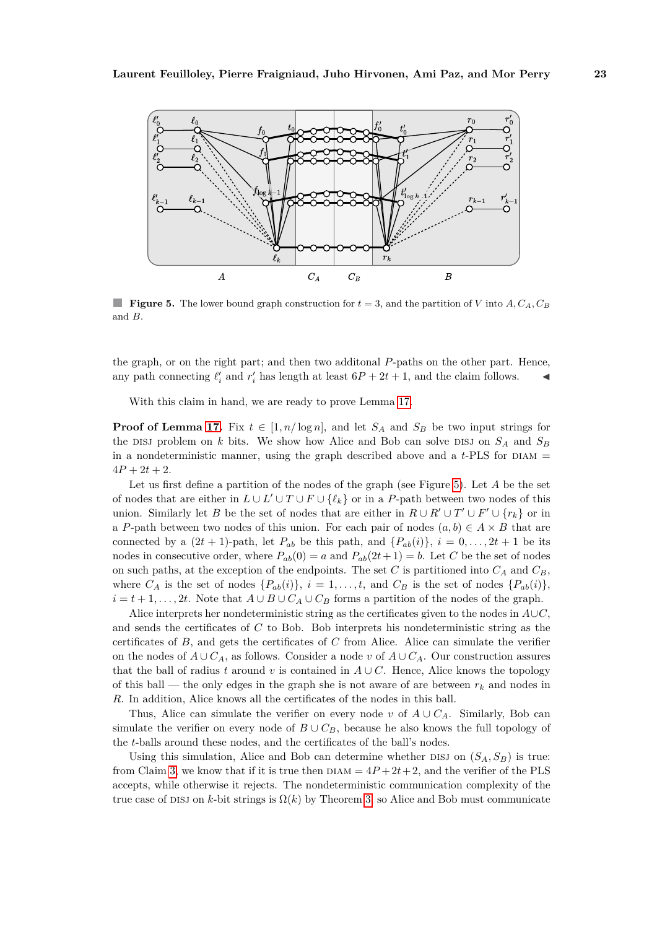<span id="page-22-0"></span>

**Figure 5.** The lower bound graph construction for  $t = 3$ , and the partition of *V* into  $A, C_A, C_B$ and *B*.

the graph, or on the right part; and then two additonal *P*-paths on the other part. Hence, any path connecting  $\ell'_i$  and  $r'_i$  has length at least  $6P + 2t + 1$ , and the claim follows.

With this claim in hand, we are ready to prove Lemma [17.](#page-19-1)

**Proof of Lemma [17.](#page-19-1)** Fix  $t \in [1, n/\log n]$ , and let  $S_A$  and  $S_B$  be two input strings for the DISJ problem on *k* bits. We show how Alice and Bob can solve DISJ on  $S_A$  and  $S_B$ in a nondeterministic manner, using the graph described above and a  $t$ -PLS for DIAM  $=$  $4P + 2t + 2.$ 

Let us first define a partition of the nodes of the graph (see Figure [5\)](#page-22-0). Let *A* be the set of nodes that are either in  $L \cup L' \cup T \cup F \cup \{\ell_k\}$  or in a *P*-path between two nodes of this union. Similarly let *B* be the set of nodes that are either in  $R \cup R' \cup T' \cup F' \cup \{r_k\}$  or in a *P*-path between two nodes of this union. For each pair of nodes  $(a, b) \in A \times B$  that are connected by a  $(2t + 1)$ -path, let  $P_{ab}$  be this path, and  $\{P_{ab}(i)\}, i = 0, \ldots, 2t + 1$  be its nodes in consecutive order, where  $P_{ab}(0) = a$  and  $P_{ab}(2t+1) = b$ . Let *C* be the set of nodes on such paths, at the exception of the endpoints. The set  $C$  is partitioned into  $C_A$  and  $C_B$ , where  $C_A$  is the set of nodes  $\{P_{ab}(i)\}\$ ,  $i = 1, \ldots, t$ , and  $C_B$  is the set of nodes  $\{P_{ab}(i)\}\$ ,  $i = t + 1, \ldots, 2t$ . Note that  $A \cup B \cup C_A \cup C_B$  forms a partition of the nodes of the graph.

Alice interprets her nondeterministic string as the certificates given to the nodes in *A*∪*C*, and sends the certificates of *C* to Bob. Bob interprets his nondeterministic string as the certificates of *B*, and gets the certificates of *C* from Alice. Alice can simulate the verifier on the nodes of  $A \cup C_A$ , as follows. Consider a node *v* of  $A \cup C_A$ . Our construction assures that the ball of radius *t* around *v* is contained in  $A \cup C$ . Hence, Alice knows the topology of this ball — the only edges in the graph she is not aware of are between  $r_k$  and nodes in *R*. In addition, Alice knows all the certificates of the nodes in this ball.

Thus, Alice can simulate the verifier on every node *v* of  $A \cup C_A$ . Similarly, Bob can simulate the verifier on every node of  $B \cup C_B$ , because he also knows the full topology of the *t*-balls around these nodes, and the certificates of the ball's nodes.

Using this simulation, Alice and Bob can determine whether DISJ on  $(S_A, S_B)$  is true: from Claim [3,](#page-21-2) we know that if it is true then  $DIAM = 4P + 2t + 2$ , and the verifier of the PLS accepts, while otherwise it rejects. The nondeterministic communication complexity of the true case of DISJ on *k*-bit strings is  $\Omega(k)$  by Theorem [3,](#page-8-1) so Alice and Bob must communicate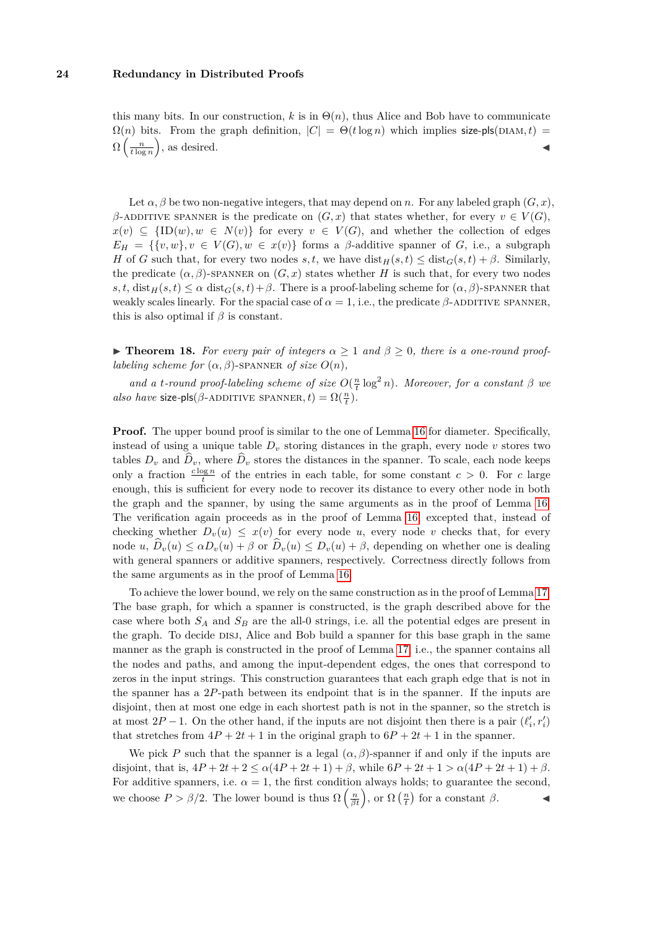this many bits. In our construction,  $k$  is in  $\Theta(n)$ , thus Alice and Bob have to communicate  $\Omega(n)$  bits. From the graph definition,  $|C| = \Theta(t \log n)$  which implies size-pls(DIAM, t) =  $\Omega\left(\frac{n}{t\log n}\right)$ , as desired.

Let  $\alpha, \beta$  be two non-negative integers, that may depend on *n*. For any labeled graph  $(G, x)$ , *β*-ADDITIVE SPANNER is the predicate on  $(G, x)$  that states whether, for every  $v \in V(G)$ ,  $x(v) \subseteq \{ID(w), w \in N(v)\}$  for every  $v \in V(G)$ , and whether the collection of edges  $E_H = \{ \{v, w\}, v \in V(G), w \in x(v) \}$  forms a *β*-additive spanner of *G*, i.e., a subgraph *H* of *G* such that, for every two nodes *s, t*, we have  $dist_H(s,t) \leq dist_G(s,t) + \beta$ . Similarly, the predicate  $(\alpha, \beta)$ -SPANNER on  $(G, x)$  states whether *H* is such that, for every two nodes  $s, t$ , dist $_H(s, t) \leq \alpha$  dist $_G(s, t) + \beta$ . There is a proof-labeling scheme for  $(\alpha, \beta)$ -SPANNER that weakly scales linearly. For the spacial case of  $\alpha = 1$ , i.e., the predicate  $\beta$ -ADDITIVE SPANNER, this is also optimal if  $\beta$  is constant.

<span id="page-23-0"></span>**Theorem 18.** For every pair of integers  $\alpha \geq 1$  and  $\beta \geq 0$ , there is a one-round proof*labeling scheme for*  $(\alpha, \beta)$ -SPANNER *of size*  $O(n)$ *,* 

*and a t-round proof-labeling scheme of size*  $O(\frac{n}{t} \log^2 n)$ *. Moreover, for a constant*  $\beta$  *we also have* size-pls( $\beta$ -ADDITIVE SPANNER,  $t$ ) =  $\Omega(\frac{n}{t})$ .

**Proof.** The upper bound proof is similar to the one of Lemma [16](#page-18-0) for diameter. Specifically, instead of using a unique table  $D<sub>v</sub>$  storing distances in the graph, every node  $v$  stores two tables  $D_v$  and  $\hat{D}_v$ , where  $\hat{D}_v$  stores the distances in the spanner. To scale, each node keeps only a fraction  $\frac{c \log n}{t}$  of the entries in each table, for some constant  $c > 0$ . For *c* large enough, this is sufficient for every node to recover its distance to every other node in both the graph and the spanner, by using the same arguments as in the proof of Lemma [16.](#page-18-0) The verification again proceeds as in the proof of Lemma [16,](#page-18-0) excepted that, instead of checking whether  $D_v(u) \leq x(v)$  for every node *u*, every node *v* checks that, for every node *u*,  $\hat{D}_v(u) \le \alpha D_v(u) + \beta$  or  $\hat{D}_v(u) \le D_v(u) + \beta$ , depending on whether one is dealing with general spanners or additive spanners, respectively. Correctness directly follows from the same arguments as in the proof of Lemma [16.](#page-18-0)

To achieve the lower bound, we rely on the same construction as in the proof of Lemma [17.](#page-19-1) The base graph, for which a spanner is constructed, is the graph described above for the case where both  $S_A$  and  $S_B$  are the all-0 strings, i.e. all the potential edges are present in the graph. To decide DISJ, Alice and Bob build a spanner for this base graph in the same manner as the graph is constructed in the proof of Lemma [17,](#page-19-1) i.e., the spanner contains all the nodes and paths, and among the input-dependent edges, the ones that correspond to zeros in the input strings. This construction guarantees that each graph edge that is not in the spanner has a 2*P*-path between its endpoint that is in the spanner. If the inputs are disjoint, then at most one edge in each shortest path is not in the spanner, so the stretch is at most  $2P - 1$ . On the other hand, if the inputs are not disjoint then there is a pair  $(\ell'_i, r'_i)$ that stretches from  $4P + 2t + 1$  in the original graph to  $6P + 2t + 1$  in the spanner.

We pick *P* such that the spanner is a legal  $(\alpha, \beta)$ -spanner if and only if the inputs are disjoint, that is,  $4P + 2t + 2 \le \alpha(4P + 2t + 1) + \beta$ , while  $6P + 2t + 1 > \alpha(4P + 2t + 1) + \beta$ . For additive spanners, i.e.  $\alpha = 1$ , the first condition always holds; to guarantee the second, we choose  $P > \beta/2$ . The lower bound is thus  $\Omega\left(\frac{n}{\beta t}\right)$ , or  $\Omega\left(\frac{n}{t}\right)$  for a constant  $\beta$ .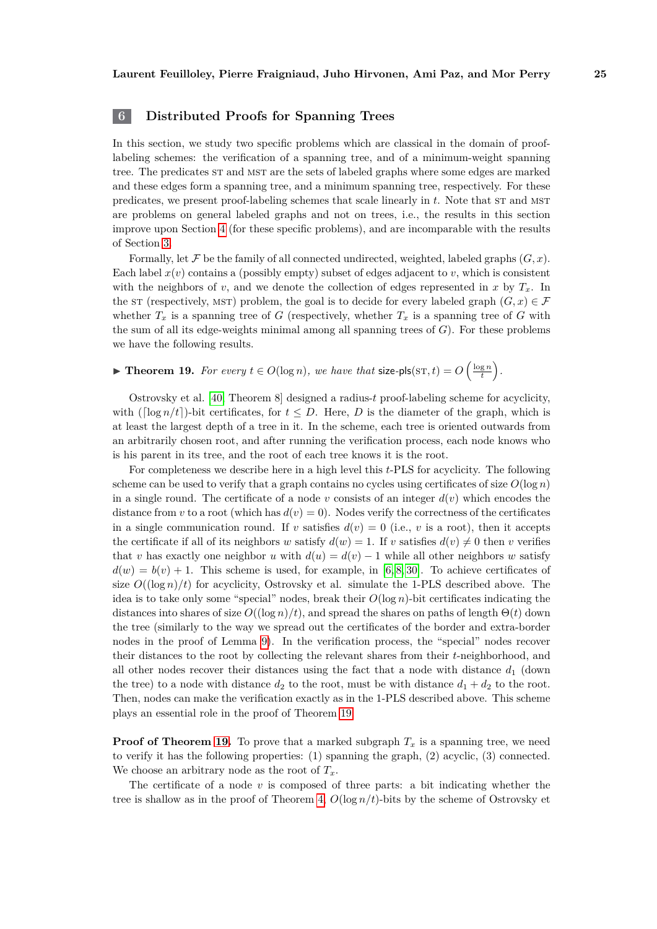# <span id="page-24-0"></span>**6 Distributed Proofs for Spanning Trees**

In this section, we study two specific problems which are classical in the domain of prooflabeling schemes: the verification of a spanning tree, and of a minimum-weight spanning tree. The predicates  $ST$  and  $MST$  are the sets of labeled graphs where some edges are marked and these edges form a spanning tree, and a minimum spanning tree, respectively. For these predicates, we present proof-labeling schemes that scale linearly in *t*. Note that ST and MST are problems on general labeled graphs and not on trees, i.e., the results in this section improve upon Section [4](#page-15-0) (for these specific problems), and are incomparable with the results of Section [3.](#page-8-0)

Formally, let  $\mathcal F$  be the family of all connected undirected, weighted, labeled graphs  $(G, x)$ . Each label  $x(v)$  contains a (possibly empty) subset of edges adjacent to *v*, which is consistent with the neighbors of *v*, and we denote the collection of edges represented in *x* by  $T_x$ . In the st (respectively, MST) problem, the goal is to decide for every labeled graph  $(G, x) \in \mathcal{F}$ whether  $T_x$  is a spanning tree of *G* (respectively, whether  $T_x$  is a spanning tree of *G* with the sum of all its edge-weights minimal among all spanning trees of *G*). For these problems we have the following results.

# <span id="page-24-1"></span>▶ **Theorem 19.** *For every*  $t \in O(\log n)$ *, we have that* size-pls(ST,  $t$ ) =  $O\left(\frac{\log n}{t}\right)$ *.*

Ostrovsky et al. [\[40,](#page-29-5) Theorem 8] designed a radius-*t* proof-labeling scheme for acyclicity, with ( $\lceil \log n/t \rceil$ )-bit certificates, for  $t \leq D$ . Here, D is the diameter of the graph, which is at least the largest depth of a tree in it. In the scheme, each tree is oriented outwards from an arbitrarily chosen root, and after running the verification process, each node knows who is his parent in its tree, and the root of each tree knows it is the root.

For completeness we describe here in a high level this *t*-PLS for acyclicity. The following scheme can be used to verify that a graph contains no cycles using certificates of size  $O(\log n)$ in a single round. The certificate of a node  $v$  consists of an integer  $d(v)$  which encodes the distance from *v* to a root (which has  $d(v) = 0$ ). Nodes verify the correctness of the certificates in a single communication round. If *v* satisfies  $d(v) = 0$  (i.e., *v* is a root), then it accepts the certificate if all of its neighbors *w* satisfy  $d(w) = 1$ . If *v* satisfies  $d(v) \neq 0$  then *v* verifies that *v* has exactly one neighbor *u* with  $d(u) = d(v) - 1$  while all other neighbors *w* satisfy  $d(w) = b(v) + 1$ . This scheme is used, for example, in [\[6,](#page-27-5) [8,](#page-28-17) [30\]](#page-29-16). To achieve certificates of size  $O((\log n)/t)$  for acyclicity, Ostrovsky et al. simulate the 1-PLS described above. The idea is to take only some "special" nodes, break their  $O(\log n)$ -bit certificates indicating the distances into shares of size  $O((\log n)/t)$ , and spread the shares on paths of length  $\Theta(t)$  down the tree (similarly to the way we spread out the certificates of the border and extra-border nodes in the proof of Lemma [9\)](#page-12-0). In the verification process, the "special" nodes recover their distances to the root by collecting the relevant shares from their *t*-neighborhood, and all other nodes recover their distances using the fact that a node with distance  $d_1$  (down the tree) to a node with distance  $d_2$  to the root, must be with distance  $d_1 + d_2$  to the root. Then, nodes can make the verification exactly as in the 1-PLS described above. This scheme plays an essential role in the proof of Theorem [19.](#page-24-1)

**Proof of Theorem [19.](#page-24-1)** To prove that a marked subgraph  $T_x$  is a spanning tree, we need to verify it has the following properties:  $(1)$  spanning the graph,  $(2)$  acyclic,  $(3)$  connected. We choose an arbitrary node as the root of  $T_x$ .

The certificate of a node *v* is composed of three parts: a bit indicating whether the tree is shallow as in the proof of Theorem [4,](#page-9-0)  $O(\log n/t)$ -bits by the scheme of Ostrovsky et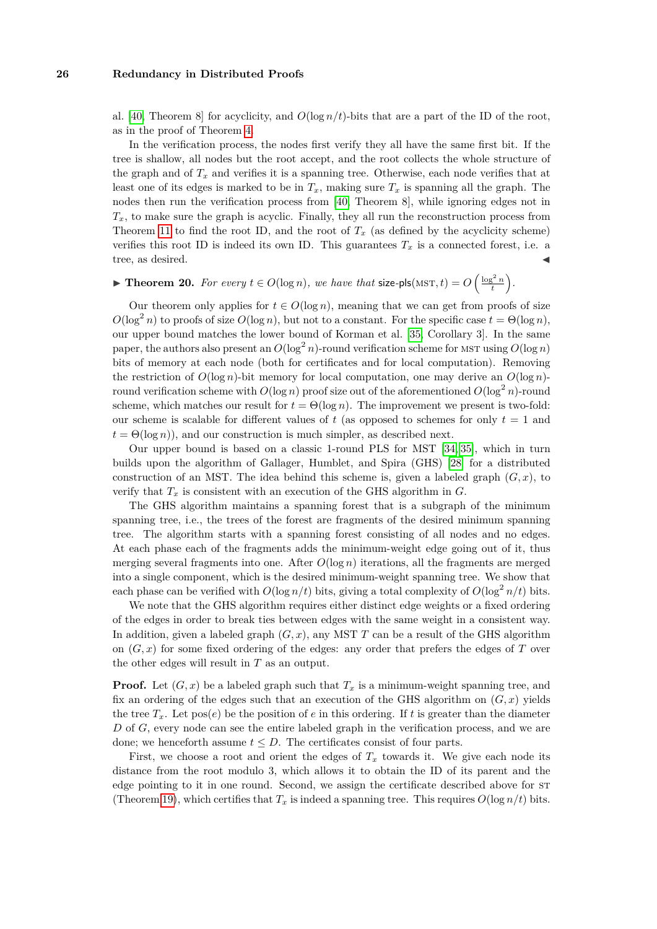al. [\[40,](#page-29-5) Theorem 8] for acyclicity, and  $O(\log n/t)$ -bits that are a part of the ID of the root, as in the proof of Theorem [4.](#page-9-0)

In the verification process, the nodes first verify they all have the same first bit. If the tree is shallow, all nodes but the root accept, and the root collects the whole structure of the graph and of  $T_x$  and verifies it is a spanning tree. Otherwise, each node verifies that at least one of its edges is marked to be in  $T_x$ , making sure  $T_x$  is spanning all the graph. The nodes then run the verification process from [\[40,](#page-29-5) Theorem 8], while ignoring edges not in  $T_x$ , to make sure the graph is acyclic. Finally, they all run the reconstruction process from Theorem [11](#page-15-1) to find the root ID, and the root of  $T_x$  (as defined by the acyclicity scheme) verifies this root ID is indeed its own ID. This guarantees  $T_x$  is a connected forest, i.e. a tree, as desired.

# <span id="page-25-0"></span>▶ **Theorem 20.** *For every*  $t \in O(\log n)$ *, we have that* size-pls(MST,  $t$ ) =  $O\left(\frac{\log^2 n}{t}\right)$ *.*

Our theorem only applies for  $t \in O(\log n)$ , meaning that we can get from proofs of size  $O(\log^2 n)$  to proofs of size  $O(\log n)$ , but not to a constant. For the specific case  $t = \Theta(\log n)$ , our upper bound matches the lower bound of Korman et al. [\[35,](#page-29-4) Corollary 3]. In the same paper, the authors also present an  $O(\log^2 n)$ -round verification scheme for MST using  $O(\log n)$ bits of memory at each node (both for certificates and for local computation). Removing the restriction of  $O(\log n)$ -bit memory for local computation, one may derive an  $O(\log n)$ round verification scheme with  $O(\log n)$  proof size out of the aforementioned  $O(\log^2 n)$ -round scheme, which matches our result for  $t = \Theta(\log n)$ . The improvement we present is two-fold: our scheme is scalable for different values of  $t$  (as opposed to schemes for only  $t = 1$  and  $t = \Theta(\log n)$ , and our construction is much simpler, as described next.

Our upper bound is based on a classic 1-round PLS for MST [\[34,](#page-29-3) [35\]](#page-29-4), which in turn builds upon the algorithm of Gallager, Humblet, and Spira (GHS) [\[28\]](#page-29-17) for a distributed construction of an MST. The idea behind this scheme is, given a labeled graph  $(G, x)$ , to verify that  $T_x$  is consistent with an execution of the GHS algorithm in  $G$ .

The GHS algorithm maintains a spanning forest that is a subgraph of the minimum spanning tree, i.e., the trees of the forest are fragments of the desired minimum spanning tree. The algorithm starts with a spanning forest consisting of all nodes and no edges. At each phase each of the fragments adds the minimum-weight edge going out of it, thus merging several fragments into one. After  $O(\log n)$  iterations, all the fragments are merged into a single component, which is the desired minimum-weight spanning tree. We show that each phase can be verified with  $O(\log n/t)$  bits, giving a total complexity of  $O(\log^2 n/t)$  bits.

We note that the GHS algorithm requires either distinct edge weights or a fixed ordering of the edges in order to break ties between edges with the same weight in a consistent way. In addition, given a labeled graph  $(G, x)$ , any MST *T* can be a result of the GHS algorithm on  $(G, x)$  for some fixed ordering of the edges: any order that prefers the edges of  $T$  over the other edges will result in *T* as an output.

**Proof.** Let  $(G, x)$  be a labeled graph such that  $T_x$  is a minimum-weight spanning tree, and fix an ordering of the edges such that an execution of the GHS algorithm on  $(G, x)$  yields the tree  $T_x$ . Let pos(*e*) be the position of *e* in this ordering. If *t* is greater than the diameter *D* of *G*, every node can see the entire labeled graph in the verification process, and we are done; we henceforth assume  $t \leq D$ . The certificates consist of four parts.

First, we choose a root and orient the edges of  $T_x$  towards it. We give each node its distance from the root modulo 3, which allows it to obtain the ID of its parent and the edge pointing to it in one round. Second, we assign the certificate described above for st (Theorem [19\)](#page-24-1), which certifies that  $T_x$  is indeed a spanning tree. This requires  $O(\log n/t)$  bits.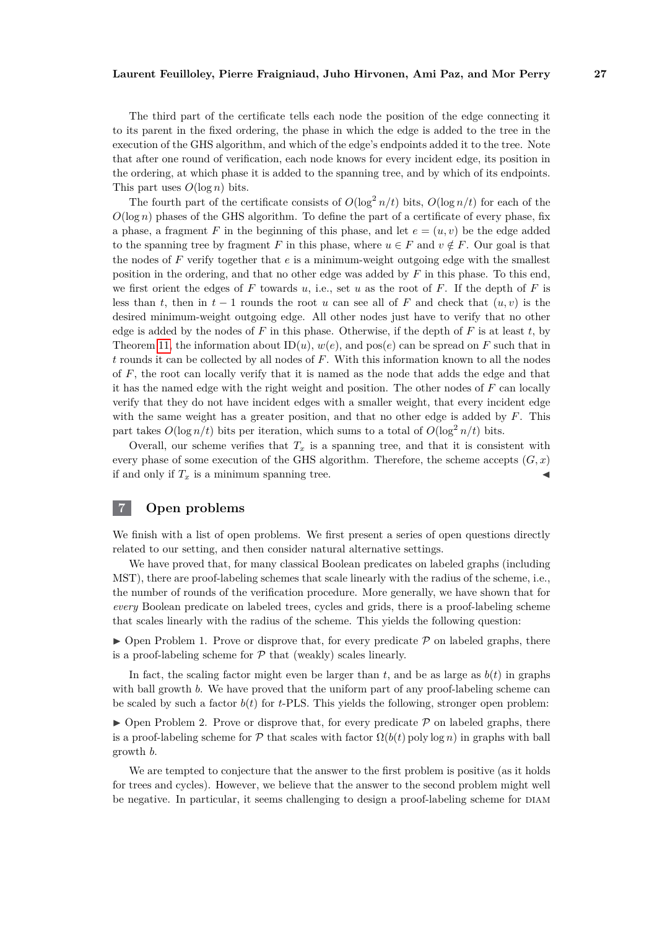The third part of the certificate tells each node the position of the edge connecting it to its parent in the fixed ordering, the phase in which the edge is added to the tree in the execution of the GHS algorithm, and which of the edge's endpoints added it to the tree. Note that after one round of verification, each node knows for every incident edge, its position in the ordering, at which phase it is added to the spanning tree, and by which of its endpoints. This part uses *O*(log *n*) bits.

The fourth part of the certificate consists of  $O(\log^2 n/t)$  bits,  $O(\log n/t)$  for each of the  $O(\log n)$  phases of the GHS algorithm. To define the part of a certificate of every phase, fix a phase, a fragment F in the beginning of this phase, and let  $e = (u, v)$  be the edge added to the spanning tree by fragment *F* in this phase, where  $u \in F$  and  $v \notin F$ . Our goal is that the nodes of *F* verify together that *e* is a minimum-weight outgoing edge with the smallest position in the ordering, and that no other edge was added by *F* in this phase. To this end, we first orient the edges of  $F$  towards  $u$ , i.e., set  $u$  as the root of  $F$ . If the depth of  $F$  is less than *t*, then in  $t-1$  rounds the root *u* can see all of *F* and check that  $(u, v)$  is the desired minimum-weight outgoing edge. All other nodes just have to verify that no other edge is added by the nodes of  $F$  in this phase. Otherwise, if the depth of  $F$  is at least  $t$ , by Theorem [11,](#page-15-1) the information about  $ID(u)$ ,  $w(e)$ , and  $pos(e)$  can be spread on *F* such that in *t* rounds it can be collected by all nodes of *F*. With this information known to all the nodes of *F*, the root can locally verify that it is named as the node that adds the edge and that it has the named edge with the right weight and position. The other nodes of *F* can locally verify that they do not have incident edges with a smaller weight, that every incident edge with the same weight has a greater position, and that no other edge is added by *F*. This part takes  $O(\log n/t)$  bits per iteration, which sums to a total of  $O(\log^2 n/t)$  bits.

Overall, our scheme verifies that  $T_x$  is a spanning tree, and that it is consistent with every phase of some execution of the GHS algorithm. Therefore, the scheme accepts  $(G, x)$ if and only if  $T_x$  is a minimum spanning tree.

# **7 Open problems**

We finish with a list of open problems. We first present a series of open questions directly related to our setting, and then consider natural alternative settings.

We have proved that, for many classical Boolean predicates on labeled graphs (including MST), there are proof-labeling schemes that scale linearly with the radius of the scheme, i.e., the number of rounds of the verification procedure. More generally, we have shown that for *every* Boolean predicate on labeled trees, cycles and grids, there is a proof-labeling scheme that scales linearly with the radius of the scheme. This yields the following question:

 $\triangleright$  Open Problem 1. Prove or disprove that, for every predicate  $\mathcal P$  on labeled graphs, there is a proof-labeling scheme for  $P$  that (weakly) scales linearly.

In fact, the scaling factor might even be larger than *t*, and be as large as  $b(t)$  in graphs with ball growth *b*. We have proved that the uniform part of any proof-labeling scheme can be scaled by such a factor  $b(t)$  for *t*-PLS. This yields the following, stronger open problem:

 $\triangleright$  Open Problem 2. Prove or disprove that, for every predicate  $\mathcal P$  on labeled graphs, there is a proof-labeling scheme for  $\mathcal P$  that scales with factor  $\Omega(b(t))$  poly log *n*) in graphs with ball growth *b*.

We are tempted to conjecture that the answer to the first problem is positive (as it holds for trees and cycles). However, we believe that the answer to the second problem might well be negative. In particular, it seems challenging to design a proof-labeling scheme for DIAM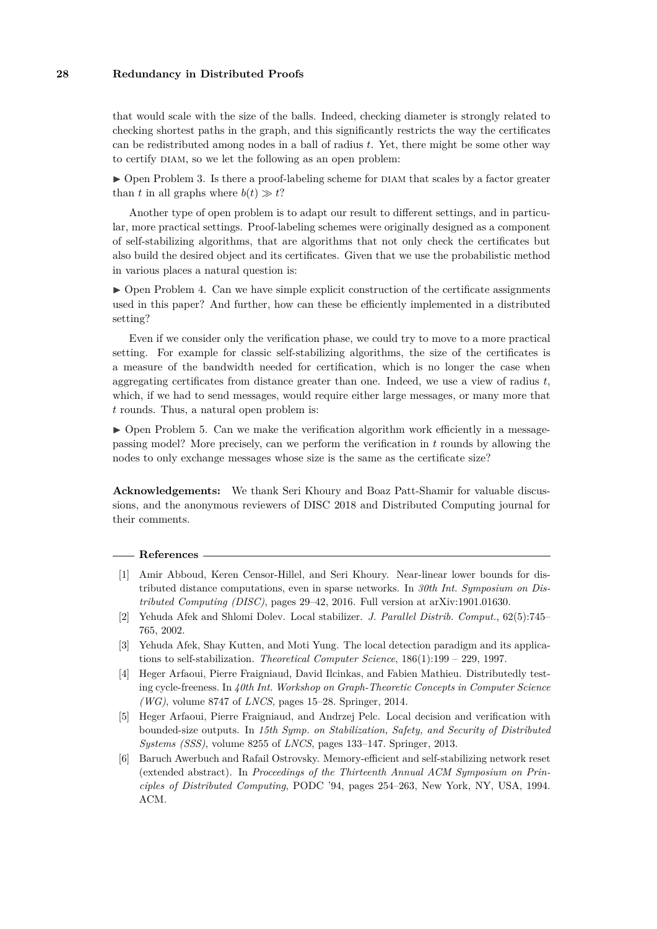that would scale with the size of the balls. Indeed, checking diameter is strongly related to checking shortest paths in the graph, and this significantly restricts the way the certificates can be redistributed among nodes in a ball of radius *t*. Yet, there might be some other way to certify DIAM, so we let the following as an open problem:

 $\triangleright$  Open Problem 3. Is there a proof-labeling scheme for DIAM that scales by a factor greater than *t* in all graphs where  $b(t) \gg t$ ?

Another type of open problem is to adapt our result to different settings, and in particular, more practical settings. Proof-labeling schemes were originally designed as a component of self-stabilizing algorithms, that are algorithms that not only check the certificates but also build the desired object and its certificates. Given that we use the probabilistic method in various places a natural question is:

 $\triangleright$  Open Problem 4. Can we have simple explicit construction of the certificate assignments used in this paper? And further, how can these be efficiently implemented in a distributed setting?

Even if we consider only the verification phase, we could try to move to a more practical setting. For example for classic self-stabilizing algorithms, the size of the certificates is a measure of the bandwidth needed for certification, which is no longer the case when aggregating certificates from distance greater than one. Indeed, we use a view of radius *t*, which, if we had to send messages, would require either large messages, or many more that *t* rounds. Thus, a natural open problem is:

 $\triangleright$  Open Problem 5. Can we make the verification algorithm work efficiently in a messagepassing model? More precisely, can we perform the verification in *t* rounds by allowing the nodes to only exchange messages whose size is the same as the certificate size?

**Acknowledgements:** We thank Seri Khoury and Boaz Patt-Shamir for valuable discussions, and the anonymous reviewers of DISC 2018 and Distributed Computing journal for their comments.

#### **References**

- <span id="page-27-4"></span>[1] Amir Abboud, Keren Censor-Hillel, and Seri Khoury. Near-linear lower bounds for distributed distance computations, even in sparse networks. In *30th Int. Symposium on Distributed Computing (DISC)*, pages 29–42, 2016. Full version at arXiv:1901.01630.
- <span id="page-27-0"></span>[2] Yehuda Afek and Shlomi Dolev. Local stabilizer. *J. Parallel Distrib. Comput.*, 62(5):745– 765, 2002.
- <span id="page-27-1"></span>[3] Yehuda Afek, Shay Kutten, and Moti Yung. The local detection paradigm and its applications to self-stabilization. *Theoretical Computer Science*, 186(1):199 – 229, 1997.
- <span id="page-27-2"></span>[4] Heger Arfaoui, Pierre Fraigniaud, David Ilcinkas, and Fabien Mathieu. Distributedly testing cycle-freeness. In *40th Int. Workshop on Graph-Theoretic Concepts in Computer Science (WG)*, volume 8747 of *LNCS*, pages 15–28. Springer, 2014.
- <span id="page-27-3"></span>[5] Heger Arfaoui, Pierre Fraigniaud, and Andrzej Pelc. Local decision and verification with bounded-size outputs. In *15th Symp. on Stabilization, Safety, and Security of Distributed Systems (SSS)*, volume 8255 of *LNCS*, pages 133–147. Springer, 2013.
- <span id="page-27-5"></span>[6] Baruch Awerbuch and Rafail Ostrovsky. Memory-efficient and self-stabilizing network reset (extended abstract). In *Proceedings of the Thirteenth Annual ACM Symposium on Principles of Distributed Computing*, PODC '94, pages 254–263, New York, NY, USA, 1994. ACM.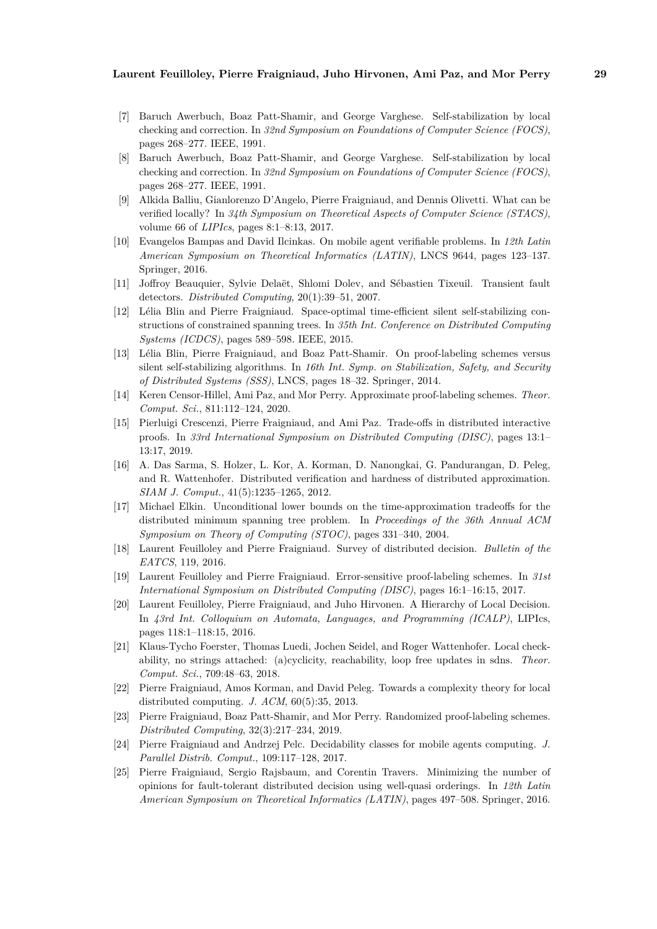- <span id="page-28-0"></span>[7] Baruch Awerbuch, Boaz Patt-Shamir, and George Varghese. Self-stabilization by local checking and correction. In *32nd Symposium on Foundations of Computer Science (FOCS)*, pages 268–277. IEEE, 1991.
- <span id="page-28-17"></span>[8] Baruch Awerbuch, Boaz Patt-Shamir, and George Varghese. Self-stabilization by local checking and correction. In *32nd Symposium on Foundations of Computer Science (FOCS)*, pages 268–277. IEEE, 1991.
- <span id="page-28-8"></span>[9] Alkida Balliu, Gianlorenzo D'Angelo, Pierre Fraigniaud, and Dennis Olivetti. What can be verified locally? In *34th Symposium on Theoretical Aspects of Computer Science (STACS)*, volume 66 of *LIPIcs*, pages 8:1–8:13, 2017.
- <span id="page-28-14"></span>[10] Evangelos Bampas and David Ilcinkas. On mobile agent verifiable problems. In *12th Latin American Symposium on Theoretical Informatics (LATIN)*, LNCS 9644, pages 123–137. Springer, 2016.
- <span id="page-28-1"></span>[11] Joffroy Beauquier, Sylvie Delaët, Shlomi Dolev, and Sébastien Tixeuil. Transient fault detectors. *Distributed Computing*, 20(1):39–51, 2007.
- [12] Lélia Blin and Pierre Fraigniaud. Space-optimal time-efficient silent self-stabilizing constructions of constrained spanning trees. In *35th Int. Conference on Distributed Computing Systems (ICDCS)*, pages 589–598. IEEE, 2015.
- <span id="page-28-2"></span>[13] Lélia Blin, Pierre Fraigniaud, and Boaz Patt-Shamir. On proof-labeling schemes versus silent self-stabilizing algorithms. In *16th Int. Symp. on Stabilization, Safety, and Security of Distributed Systems (SSS)*, LNCS, pages 18–32. Springer, 2014.
- <span id="page-28-4"></span>[14] Keren Censor-Hillel, Ami Paz, and Mor Perry. Approximate proof-labeling schemes. *Theor. Comput. Sci.*, 811:112–124, 2020.
- <span id="page-28-9"></span>[15] Pierluigi Crescenzi, Pierre Fraigniaud, and Ami Paz. Trade-offs in distributed interactive proofs. In *33rd International Symposium on Distributed Computing (DISC)*, pages 13:1– 13:17, 2019.
- <span id="page-28-6"></span>[16] A. Das Sarma, S. Holzer, L. Kor, A. Korman, D. Nanongkai, G. Pandurangan, D. Peleg, and R. Wattenhofer. Distributed verification and hardness of distributed approximation. *SIAM J. Comput.*, 41(5):1235–1265, 2012.
- <span id="page-28-7"></span>[17] Michael Elkin. Unconditional lower bounds on the time-approximation tradeoffs for the distributed minimum spanning tree problem. In *Proceedings of the 36th Annual ACM Symposium on Theory of Computing (STOC)*, pages 331–340, 2004.
- <span id="page-28-16"></span>[18] Laurent Feuilloley and Pierre Fraigniaud. Survey of distributed decision. *Bulletin of the EATCS*, 119, 2016.
- <span id="page-28-11"></span>[19] Laurent Feuilloley and Pierre Fraigniaud. Error-sensitive proof-labeling schemes. In *31st International Symposium on Distributed Computing (DISC)*, pages 16:1–16:15, 2017.
- <span id="page-28-10"></span>[20] Laurent Feuilloley, Pierre Fraigniaud, and Juho Hirvonen. A Hierarchy of Local Decision. In *43rd Int. Colloquium on Automata, Languages, and Programming (ICALP)*, LIPIcs, pages 118:1–118:15, 2016.
- <span id="page-28-13"></span>[21] Klaus-Tycho Foerster, Thomas Luedi, Jochen Seidel, and Roger Wattenhofer. Local checkability, no strings attached: (a)cyclicity, reachability, loop free updates in sdns. *Theor. Comput. Sci.*, 709:48–63, 2018.
- <span id="page-28-3"></span>[22] Pierre Fraigniaud, Amos Korman, and David Peleg. Towards a complexity theory for local distributed computing. *J. ACM*, 60(5):35, 2013.
- <span id="page-28-5"></span>[23] Pierre Fraigniaud, Boaz Patt-Shamir, and Mor Perry. Randomized proof-labeling schemes. *Distributed Computing*, 32(3):217–234, 2019.
- <span id="page-28-15"></span>[24] Pierre Fraigniaud and Andrzej Pelc. Decidability classes for mobile agents computing. *J. Parallel Distrib. Comput.*, 109:117–128, 2017.
- <span id="page-28-12"></span>[25] Pierre Fraigniaud, Sergio Rajsbaum, and Corentin Travers. Minimizing the number of opinions for fault-tolerant distributed decision using well-quasi orderings. In *12th Latin American Symposium on Theoretical Informatics (LATIN)*, pages 497–508. Springer, 2016.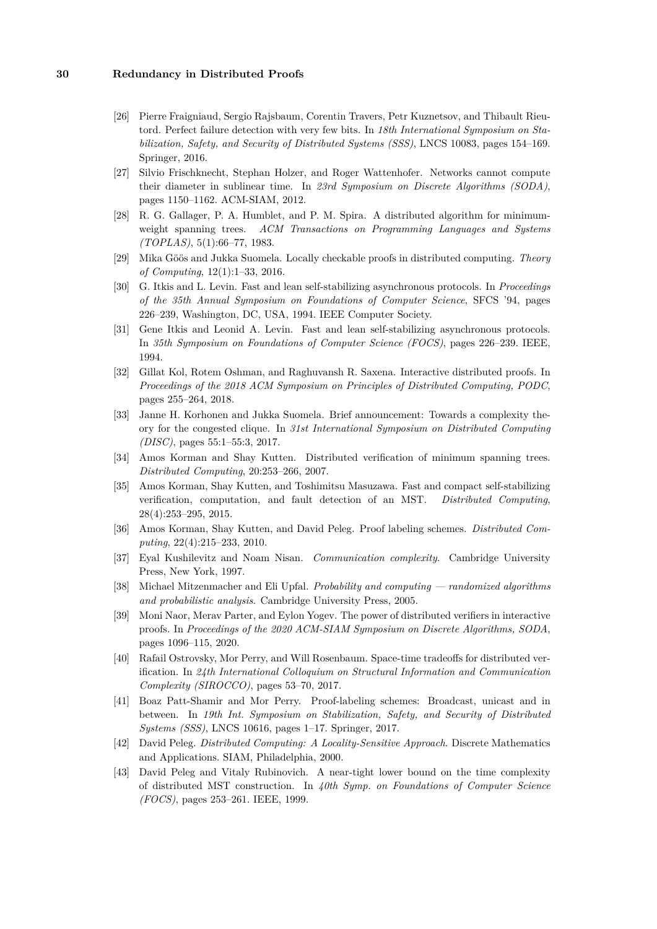- <span id="page-29-13"></span>[26] Pierre Fraigniaud, Sergio Rajsbaum, Corentin Travers, Petr Kuznetsov, and Thibault Rieutord. Perfect failure detection with very few bits. In *18th International Symposium on Stabilization, Safety, and Security of Distributed Systems (SSS)*, LNCS 10083, pages 154–169. Springer, 2016.
- <span id="page-29-6"></span>[27] Silvio Frischknecht, Stephan Holzer, and Roger Wattenhofer. Networks cannot compute their diameter in sublinear time. In *23rd Symposium on Discrete Algorithms (SODA)*, pages 1150–1162. ACM-SIAM, 2012.
- <span id="page-29-17"></span>[28] R. G. Gallager, P. A. Humblet, and P. M. Spira. A distributed algorithm for minimumweight spanning trees. *ACM Transactions on Programming Languages and Systems (TOPLAS)*, 5(1):66–77, 1983.
- <span id="page-29-1"></span>[29] Mika Göös and Jukka Suomela. Locally checkable proofs in distributed computing. *Theory of Computing*, 12(1):1–33, 2016.
- <span id="page-29-16"></span>[30] G. Itkis and L. Levin. Fast and lean self-stabilizing asynchronous protocols. In *Proceedings of the 35th Annual Symposium on Foundations of Computer Science*, SFCS '94, pages 226–239, Washington, DC, USA, 1994. IEEE Computer Society.
- <span id="page-29-2"></span>[31] Gene Itkis and Leonid A. Levin. Fast and lean self-stabilizing asynchronous protocols. In *35th Symposium on Foundations of Computer Science (FOCS)*, pages 226–239. IEEE, 1994.
- <span id="page-29-9"></span>[32] Gillat Kol, Rotem Oshman, and Raghuvansh R. Saxena. Interactive distributed proofs. In *Proceedings of the 2018 ACM Symposium on Principles of Distributed Computing, PODC*, pages 255–264, 2018.
- <span id="page-29-12"></span>[33] Janne H. Korhonen and Jukka Suomela. Brief announcement: Towards a complexity theory for the congested clique. In *31st International Symposium on Distributed Computing (DISC)*, pages 55:1–55:3, 2017.
- <span id="page-29-3"></span>[34] Amos Korman and Shay Kutten. Distributed verification of minimum spanning trees. *Distributed Computing*, 20:253–266, 2007.
- <span id="page-29-4"></span>[35] Amos Korman, Shay Kutten, and Toshimitsu Masuzawa. Fast and compact self-stabilizing verification, computation, and fault detection of an MST. *Distributed Computing*, 28(4):253–295, 2015.
- <span id="page-29-0"></span>[36] Amos Korman, Shay Kutten, and David Peleg. Proof labeling schemes. *Distributed Computing*, 22(4):215–233, 2010.
- <span id="page-29-14"></span>[37] Eyal Kushilevitz and Noam Nisan. *Communication complexity*. Cambridge University Press, New York, 1997.
- <span id="page-29-15"></span>[38] Michael Mitzenmacher and Eli Upfal. *Probability and computing — randomized algorithms and probabilistic analysis*. Cambridge University Press, 2005.
- <span id="page-29-10"></span>[39] Moni Naor, Merav Parter, and Eylon Yogev. The power of distributed verifiers in interactive proofs. In *Proceedings of the 2020 ACM-SIAM Symposium on Discrete Algorithms, SODA*, pages 1096–115, 2020.
- <span id="page-29-5"></span>[40] Rafail Ostrovsky, Mor Perry, and Will Rosenbaum. Space-time tradeoffs for distributed verification. In *24th International Colloquium on Structural Information and Communication Complexity (SIROCCO)*, pages 53–70, 2017.
- <span id="page-29-11"></span>[41] Boaz Patt-Shamir and Mor Perry. Proof-labeling schemes: Broadcast, unicast and in between. In *19th Int. Symposium on Stabilization, Safety, and Security of Distributed Systems (SSS)*, LNCS 10616, pages 1–17. Springer, 2017.
- <span id="page-29-8"></span>[42] David Peleg. *Distributed Computing: A Locality-Sensitive Approach*. Discrete Mathematics and Applications. SIAM, Philadelphia, 2000.
- <span id="page-29-7"></span>[43] David Peleg and Vitaly Rubinovich. A near-tight lower bound on the time complexity of distributed MST construction. In *40th Symp. on Foundations of Computer Science (FOCS)*, pages 253–261. IEEE, 1999.